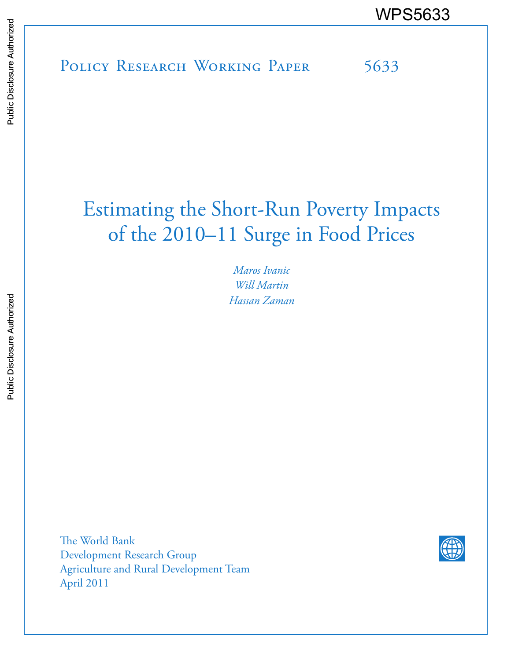POLICY RESEARCH WORKING PAPER 5633 WPS5633

# Estimating the Short-Run Poverty Impacts of the 2010–11 Surge in Food Prices

*Maros Ivanic Will Martin Hassan Zaman*

The World Bank Development Research Group Agriculture and Rural Development Team April 2011

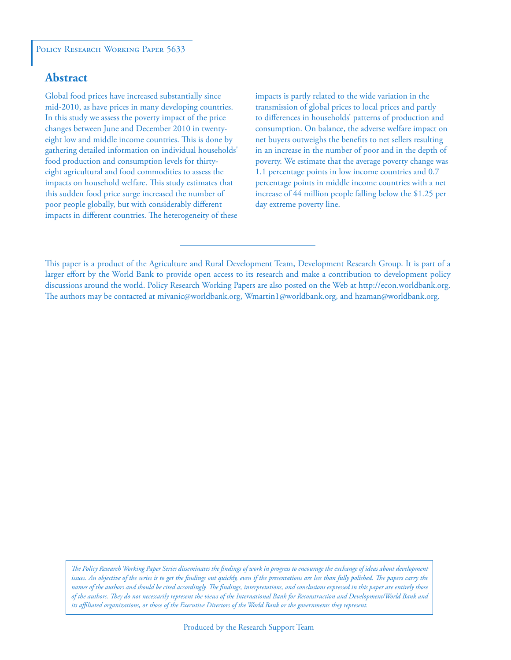#### POLICY RESEARCH WORKING PAPER 5633

### **Abstract**

Global food prices have increased substantially since mid-2010, as have prices in many developing countries. In this study we assess the poverty impact of the price changes between June and December 2010 in twentyeight low and middle income countries. This is done by gathering detailed information on individual households' food production and consumption levels for thirtyeight agricultural and food commodities to assess the impacts on household welfare. This study estimates that this sudden food price surge increased the number of poor people globally, but with considerably different impacts in different countries. The heterogeneity of these impacts is partly related to the wide variation in the transmission of global prices to local prices and partly to differences in households' patterns of production and consumption. On balance, the adverse welfare impact on net buyers outweighs the benefits to net sellers resulting in an increase in the number of poor and in the depth of poverty. We estimate that the average poverty change was 1.1 percentage points in low income countries and 0.7 percentage points in middle income countries with a net increase of 44 million people falling below the \$1.25 per day extreme poverty line.

This paper is a product of the Agriculture and Rural Development Team, Development Research Group. It is part of a larger effort by the World Bank to provide open access to its research and make a contribution to development policy discussions around the world. Policy Research Working Papers are also posted on the Web at http://econ.worldbank.org. The authors may be contacted at mivanic@worldbank.org, Wmartin1@worldbank.org, and hzaman@worldbank.org.

*The Policy Research Working Paper Series disseminates the findings of work in progress to encourage the exchange of ideas about development*  issues. An objective of the series is to get the findings out quickly, even if the presentations are less than fully polished. The papers carry the *names of the authors and should be cited accordingly. The findings, interpretations, and conclusions expressed in this paper are entirely those of the authors. They do not necessarily represent the views of the International Bank for Reconstruction and Development/World Bank and its affiliated organizations, or those of the Executive Directors of the World Bank or the governments they represent.*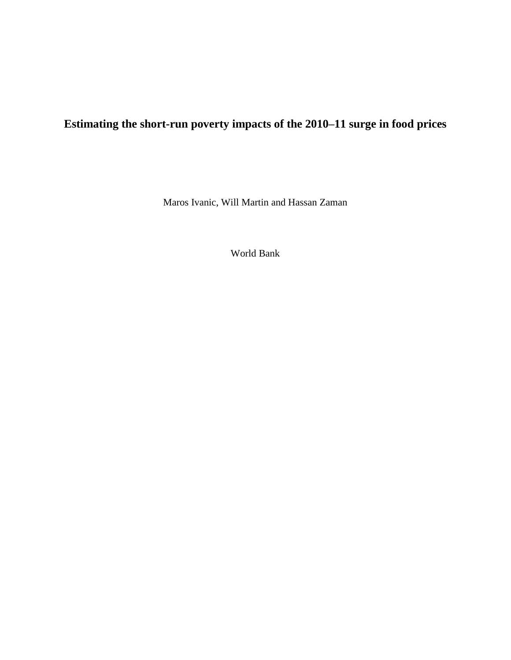## **Estimating the short-run poverty impacts of the 2010–11 surge in food prices**

Maros Ivanic, Will Martin and Hassan Zaman

World Bank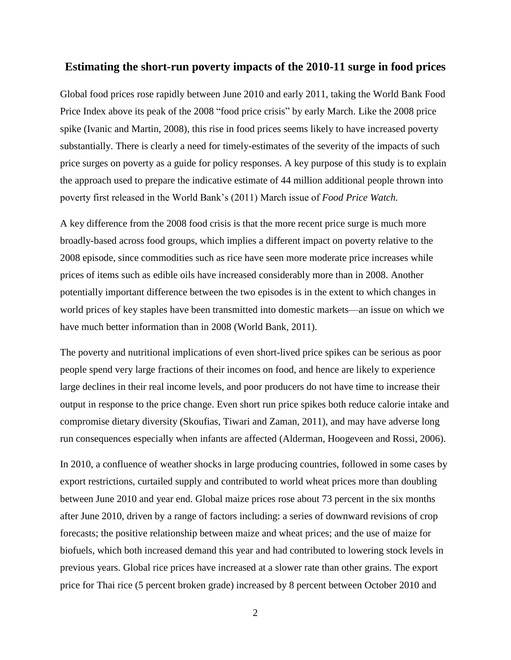#### **Estimating the short-run poverty impacts of the 2010-11 surge in food prices**

Global food prices rose rapidly between June 2010 and early 2011, taking the World Bank Food Price Index above its peak of the 2008 "food price crisis" by early March. Like the 2008 price spike (Ivanic and Martin, 2008), this rise in food prices seems likely to have increased poverty substantially. There is clearly a need for timely-estimates of the severity of the impacts of such price surges on poverty as a guide for policy responses. A key purpose of this study is to explain the approach used to prepare the indicative estimate of 44 million additional people thrown into poverty first released in the World Bank's (2011) March issue of *Food Price Watch.* 

A key difference from the 2008 food crisis is that the more recent price surge is much more broadly-based across food groups, which implies a different impact on poverty relative to the 2008 episode, since commodities such as rice have seen more moderate price increases while prices of items such as edible oils have increased considerably more than in 2008. Another potentially important difference between the two episodes is in the extent to which changes in world prices of key staples have been transmitted into domestic markets—an issue on which we have much better information than in 2008 (World Bank, 2011).

The poverty and nutritional implications of even short-lived price spikes can be serious as poor people spend very large fractions of their incomes on food, and hence are likely to experience large declines in their real income levels, and poor producers do not have time to increase their output in response to the price change. Even short run price spikes both reduce calorie intake and compromise dietary diversity (Skoufias, Tiwari and Zaman, 2011), and may have adverse long run consequences especially when infants are affected (Alderman, Hoogeveen and Rossi, 2006).

In 2010, a confluence of weather shocks in large producing countries, followed in some cases by export restrictions, curtailed supply and contributed to world wheat prices more than doubling between June 2010 and year end. Global maize prices rose about 73 percent in the six months after June 2010, driven by a range of factors including: a series of downward revisions of crop forecasts; the positive relationship between maize and wheat prices; and the use of maize for biofuels, which both increased demand this year and had contributed to lowering stock levels in previous years. Global rice prices have increased at a slower rate than other grains. The export price for Thai rice (5 percent broken grade) increased by 8 percent between October 2010 and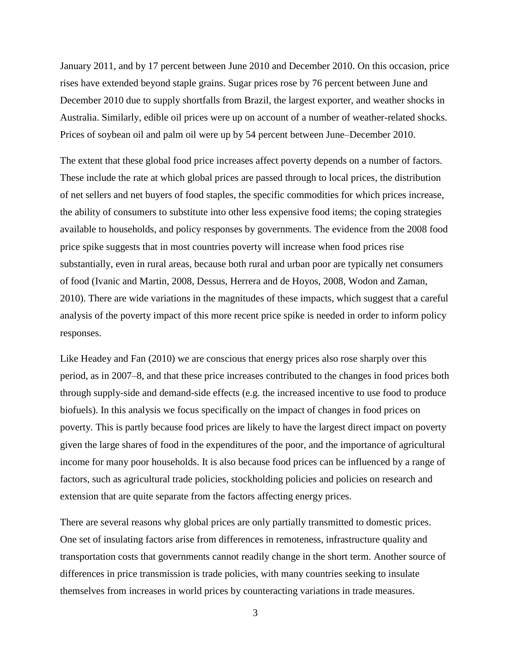January 2011, and by 17 percent between June 2010 and December 2010. On this occasion, price rises have extended beyond staple grains. Sugar prices rose by 76 percent between June and December 2010 due to supply shortfalls from Brazil, the largest exporter, and weather shocks in Australia. Similarly, edible oil prices were up on account of a number of weather-related shocks. Prices of soybean oil and palm oil were up by 54 percent between June–December 2010.

The extent that these global food price increases affect poverty depends on a number of factors. These include the rate at which global prices are passed through to local prices, the distribution of net sellers and net buyers of food staples, the specific commodities for which prices increase, the ability of consumers to substitute into other less expensive food items; the coping strategies available to households, and policy responses by governments. The evidence from the 2008 food price spike suggests that in most countries poverty will increase when food prices rise substantially, even in rural areas, because both rural and urban poor are typically net consumers of food (Ivanic and Martin, 2008, Dessus, Herrera and de Hoyos, 2008, Wodon and Zaman, 2010). There are wide variations in the magnitudes of these impacts, which suggest that a careful analysis of the poverty impact of this more recent price spike is needed in order to inform policy responses.

Like Headey and Fan (2010) we are conscious that energy prices also rose sharply over this period, as in 2007–8, and that these price increases contributed to the changes in food prices both through supply-side and demand-side effects (e.g. the increased incentive to use food to produce biofuels). In this analysis we focus specifically on the impact of changes in food prices on poverty. This is partly because food prices are likely to have the largest direct impact on poverty given the large shares of food in the expenditures of the poor, and the importance of agricultural income for many poor households. It is also because food prices can be influenced by a range of factors, such as agricultural trade policies, stockholding policies and policies on research and extension that are quite separate from the factors affecting energy prices.

There are several reasons why global prices are only partially transmitted to domestic prices. One set of insulating factors arise from differences in remoteness, infrastructure quality and transportation costs that governments cannot readily change in the short term. Another source of differences in price transmission is trade policies, with many countries seeking to insulate themselves from increases in world prices by counteracting variations in trade measures.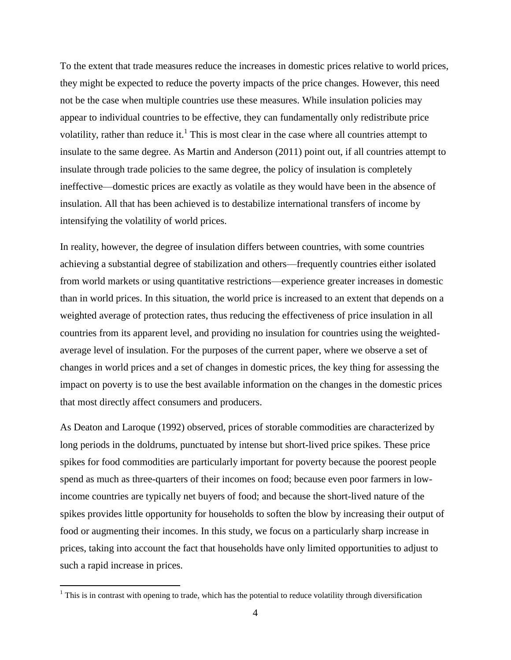To the extent that trade measures reduce the increases in domestic prices relative to world prices, they might be expected to reduce the poverty impacts of the price changes. However, this need not be the case when multiple countries use these measures. While insulation policies may appear to individual countries to be effective, they can fundamentally only redistribute price volatility, rather than reduce it.<sup>1</sup> This is most clear in the case where all countries attempt to insulate to the same degree. As Martin and Anderson (2011) point out, if all countries attempt to insulate through trade policies to the same degree, the policy of insulation is completely ineffective—domestic prices are exactly as volatile as they would have been in the absence of insulation. All that has been achieved is to destabilize international transfers of income by intensifying the volatility of world prices.

In reality, however, the degree of insulation differs between countries, with some countries achieving a substantial degree of stabilization and others—frequently countries either isolated from world markets or using quantitative restrictions—experience greater increases in domestic than in world prices. In this situation, the world price is increased to an extent that depends on a weighted average of protection rates, thus reducing the effectiveness of price insulation in all countries from its apparent level, and providing no insulation for countries using the weightedaverage level of insulation. For the purposes of the current paper, where we observe a set of changes in world prices and a set of changes in domestic prices, the key thing for assessing the impact on poverty is to use the best available information on the changes in the domestic prices that most directly affect consumers and producers.

As Deaton and Laroque (1992) observed, prices of storable commodities are characterized by long periods in the doldrums, punctuated by intense but short-lived price spikes. These price spikes for food commodities are particularly important for poverty because the poorest people spend as much as three-quarters of their incomes on food; because even poor farmers in lowincome countries are typically net buyers of food; and because the short-lived nature of the spikes provides little opportunity for households to soften the blow by increasing their output of food or augmenting their incomes. In this study, we focus on a particularly sharp increase in prices, taking into account the fact that households have only limited opportunities to adjust to such a rapid increase in prices.

 $\overline{a}$ 

 $1$  This is in contrast with opening to trade, which has the potential to reduce volatility through diversification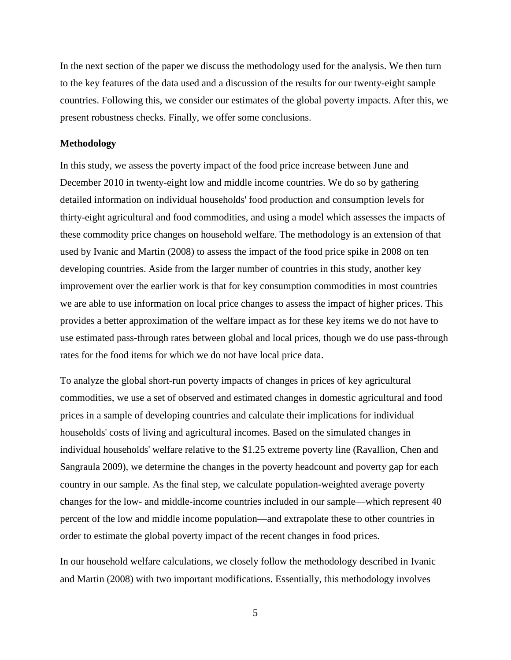In the next section of the paper we discuss the methodology used for the analysis. We then turn to the key features of the data used and a discussion of the results for our twenty-eight sample countries. Following this, we consider our estimates of the global poverty impacts. After this, we present robustness checks. Finally, we offer some conclusions.

#### **Methodology**

In this study, we assess the poverty impact of the food price increase between June and December 2010 in twenty-eight low and middle income countries. We do so by gathering detailed information on individual households' food production and consumption levels for thirty-eight agricultural and food commodities, and using a model which assesses the impacts of these commodity price changes on household welfare. The methodology is an extension of that used by Ivanic and Martin (2008) to assess the impact of the food price spike in 2008 on ten developing countries. Aside from the larger number of countries in this study, another key improvement over the earlier work is that for key consumption commodities in most countries we are able to use information on local price changes to assess the impact of higher prices. This provides a better approximation of the welfare impact as for these key items we do not have to use estimated pass-through rates between global and local prices, though we do use pass-through rates for the food items for which we do not have local price data.

To analyze the global short-run poverty impacts of changes in prices of key agricultural commodities, we use a set of observed and estimated changes in domestic agricultural and food prices in a sample of developing countries and calculate their implications for individual households' costs of living and agricultural incomes. Based on the simulated changes in individual households' welfare relative to the \$1.25 extreme poverty line (Ravallion, Chen and Sangraula 2009), we determine the changes in the poverty headcount and poverty gap for each country in our sample. As the final step, we calculate population-weighted average poverty changes for the low- and middle-income countries included in our sample—which represent 40 percent of the low and middle income population—and extrapolate these to other countries in order to estimate the global poverty impact of the recent changes in food prices.

In our household welfare calculations, we closely follow the methodology described in Ivanic and Martin (2008) with two important modifications. Essentially, this methodology involves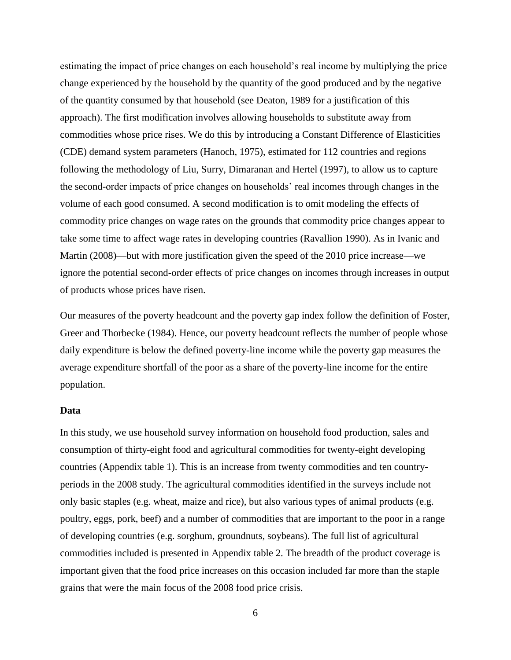estimating the impact of price changes on each household's real income by multiplying the price change experienced by the household by the quantity of the good produced and by the negative of the quantity consumed by that household (see Deaton, 1989 for a justification of this approach). The first modification involves allowing households to substitute away from commodities whose price rises. We do this by introducing a Constant Difference of Elasticities (CDE) demand system parameters (Hanoch, 1975), estimated for 112 countries and regions following the methodology of Liu, Surry, Dimaranan and Hertel (1997), to allow us to capture the second-order impacts of price changes on households' real incomes through changes in the volume of each good consumed. A second modification is to omit modeling the effects of commodity price changes on wage rates on the grounds that commodity price changes appear to take some time to affect wage rates in developing countries (Ravallion 1990). As in Ivanic and Martin (2008)—but with more justification given the speed of the 2010 price increase—we ignore the potential second-order effects of price changes on incomes through increases in output of products whose prices have risen.

Our measures of the poverty headcount and the poverty gap index follow the definition of Foster, Greer and Thorbecke (1984). Hence, our poverty headcount reflects the number of people whose daily expenditure is below the defined poverty-line income while the poverty gap measures the average expenditure shortfall of the poor as a share of the poverty-line income for the entire population.

#### **Data**

In this study, we use household survey information on household food production, sales and consumption of thirty-eight food and agricultural commodities for twenty-eight developing countries (Appendix table 1). This is an increase from twenty commodities and ten countryperiods in the 2008 study. The agricultural commodities identified in the surveys include not only basic staples (e.g. wheat, maize and rice), but also various types of animal products (e.g. poultry, eggs, pork, beef) and a number of commodities that are important to the poor in a range of developing countries (e.g. sorghum, groundnuts, soybeans). The full list of agricultural commodities included is presented in Appendix table 2. The breadth of the product coverage is important given that the food price increases on this occasion included far more than the staple grains that were the main focus of the 2008 food price crisis.

<sup>6</sup>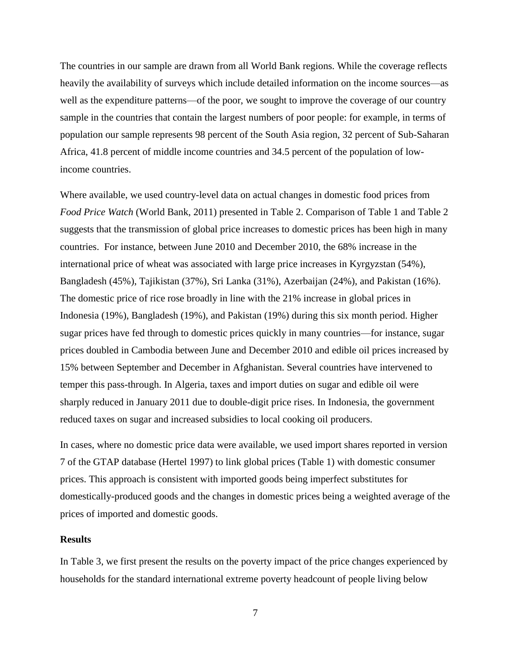The countries in our sample are drawn from all World Bank regions. While the coverage reflects heavily the availability of surveys which include detailed information on the income sources—as well as the expenditure patterns—of the poor, we sought to improve the coverage of our country sample in the countries that contain the largest numbers of poor people: for example, in terms of population our sample represents 98 percent of the South Asia region, 32 percent of Sub-Saharan Africa, 41.8 percent of middle income countries and 34.5 percent of the population of lowincome countries.

Where available, we used country-level data on actual changes in domestic food prices from *Food Price Watch* (World Bank, 2011) presented in Table 2. Comparison of Table 1 and Table 2 suggests that the transmission of global price increases to domestic prices has been high in many countries. For instance, between June 2010 and December 2010, the 68% increase in the international price of wheat was associated with large price increases in Kyrgyzstan (54%), Bangladesh (45%), Tajikistan (37%), Sri Lanka (31%), Azerbaijan (24%), and Pakistan (16%). The domestic price of rice rose broadly in line with the 21% increase in global prices in Indonesia (19%), Bangladesh (19%), and Pakistan (19%) during this six month period. Higher sugar prices have fed through to domestic prices quickly in many countries—for instance, sugar prices doubled in Cambodia between June and December 2010 and edible oil prices increased by 15% between September and December in Afghanistan. Several countries have intervened to temper this pass-through. In Algeria, taxes and import duties on sugar and edible oil were sharply reduced in January 2011 due to double-digit price rises. In Indonesia, the government reduced taxes on sugar and increased subsidies to local cooking oil producers.

In cases, where no domestic price data were available, we used import shares reported in version 7 of the GTAP database (Hertel 1997) to link global prices (Table 1) with domestic consumer prices. This approach is consistent with imported goods being imperfect substitutes for domestically-produced goods and the changes in domestic prices being a weighted average of the prices of imported and domestic goods.

#### **Results**

In Table 3, we first present the results on the poverty impact of the price changes experienced by households for the standard international extreme poverty headcount of people living below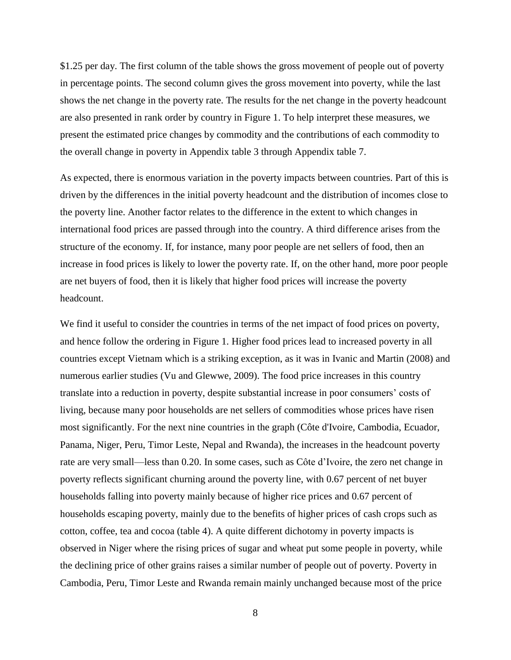\$1.25 per day. The first column of the table shows the gross movement of people out of poverty in percentage points. The second column gives the gross movement into poverty, while the last shows the net change in the poverty rate. The results for the net change in the poverty headcount are also presented in rank order by country in Figure 1. To help interpret these measures, we present the estimated price changes by commodity and the contributions of each commodity to the overall change in poverty in Appendix table 3 through Appendix table 7.

As expected, there is enormous variation in the poverty impacts between countries. Part of this is driven by the differences in the initial poverty headcount and the distribution of incomes close to the poverty line. Another factor relates to the difference in the extent to which changes in international food prices are passed through into the country. A third difference arises from the structure of the economy. If, for instance, many poor people are net sellers of food, then an increase in food prices is likely to lower the poverty rate. If, on the other hand, more poor people are net buyers of food, then it is likely that higher food prices will increase the poverty headcount.

We find it useful to consider the countries in terms of the net impact of food prices on poverty, and hence follow the ordering in Figure 1. Higher food prices lead to increased poverty in all countries except Vietnam which is a striking exception, as it was in Ivanic and Martin (2008) and numerous earlier studies (Vu and Glewwe, 2009). The food price increases in this country translate into a reduction in poverty, despite substantial increase in poor consumers' costs of living, because many poor households are net sellers of commodities whose prices have risen most significantly. For the next nine countries in the graph (Côte d'Ivoire, Cambodia, Ecuador, Panama, Niger, Peru, Timor Leste, Nepal and Rwanda), the increases in the headcount poverty rate are very small—less than 0.20. In some cases, such as Côte d'Ivoire, the zero net change in poverty reflects significant churning around the poverty line, with 0.67 percent of net buyer households falling into poverty mainly because of higher rice prices and 0.67 percent of households escaping poverty, mainly due to the benefits of higher prices of cash crops such as cotton, coffee, tea and cocoa (table 4). A quite different dichotomy in poverty impacts is observed in Niger where the rising prices of sugar and wheat put some people in poverty, while the declining price of other grains raises a similar number of people out of poverty. Poverty in Cambodia, Peru, Timor Leste and Rwanda remain mainly unchanged because most of the price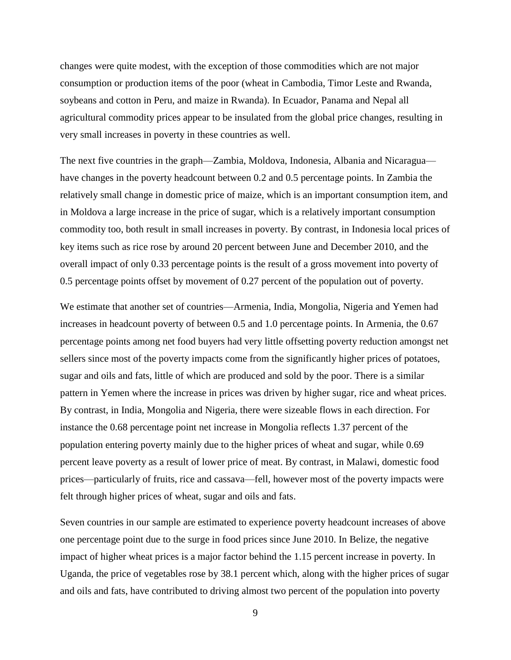changes were quite modest, with the exception of those commodities which are not major consumption or production items of the poor (wheat in Cambodia, Timor Leste and Rwanda, soybeans and cotton in Peru, and maize in Rwanda). In Ecuador, Panama and Nepal all agricultural commodity prices appear to be insulated from the global price changes, resulting in very small increases in poverty in these countries as well.

The next five countries in the graph—Zambia, Moldova, Indonesia, Albania and Nicaragua have changes in the poverty headcount between 0.2 and 0.5 percentage points. In Zambia the relatively small change in domestic price of maize, which is an important consumption item, and in Moldova a large increase in the price of sugar, which is a relatively important consumption commodity too, both result in small increases in poverty. By contrast, in Indonesia local prices of key items such as rice rose by around 20 percent between June and December 2010, and the overall impact of only 0.33 percentage points is the result of a gross movement into poverty of 0.5 percentage points offset by movement of 0.27 percent of the population out of poverty.

We estimate that another set of countries—Armenia, India, Mongolia, Nigeria and Yemen had increases in headcount poverty of between 0.5 and 1.0 percentage points. In Armenia, the 0.67 percentage points among net food buyers had very little offsetting poverty reduction amongst net sellers since most of the poverty impacts come from the significantly higher prices of potatoes, sugar and oils and fats, little of which are produced and sold by the poor. There is a similar pattern in Yemen where the increase in prices was driven by higher sugar, rice and wheat prices. By contrast, in India, Mongolia and Nigeria, there were sizeable flows in each direction. For instance the 0.68 percentage point net increase in Mongolia reflects 1.37 percent of the population entering poverty mainly due to the higher prices of wheat and sugar, while 0.69 percent leave poverty as a result of lower price of meat. By contrast, in Malawi, domestic food prices—particularly of fruits, rice and cassava—fell, however most of the poverty impacts were felt through higher prices of wheat, sugar and oils and fats.

Seven countries in our sample are estimated to experience poverty headcount increases of above one percentage point due to the surge in food prices since June 2010. In Belize, the negative impact of higher wheat prices is a major factor behind the 1.15 percent increase in poverty. In Uganda, the price of vegetables rose by 38.1 percent which, along with the higher prices of sugar and oils and fats, have contributed to driving almost two percent of the population into poverty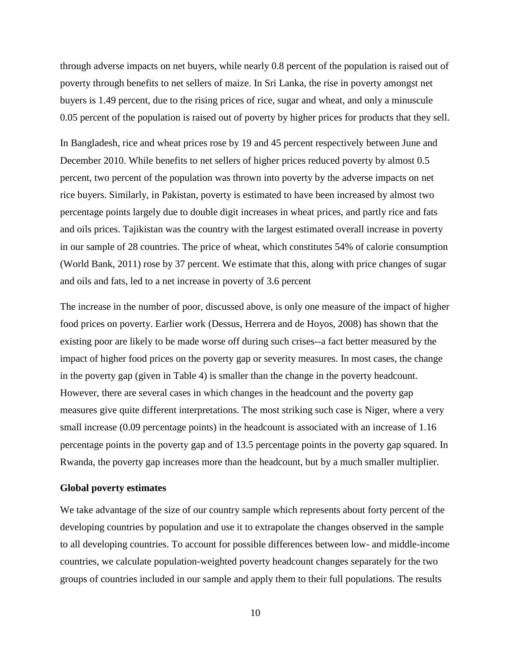through adverse impacts on net buyers, while nearly 0.8 percent of the population is raised out of poverty through benefits to net sellers of maize. In Sri Lanka, the rise in poverty amongst net buyers is 1.49 percent, due to the rising prices of rice, sugar and wheat, and only a minuscule 0.05 percent of the population is raised out of poverty by higher prices for products that they sell.

In Bangladesh, rice and wheat prices rose by 19 and 45 percent respectively between June and December 2010. While benefits to net sellers of higher prices reduced poverty by almost 0.5 percent, two percent of the population was thrown into poverty by the adverse impacts on net rice buyers. Similarly, in Pakistan, poverty is estimated to have been increased by almost two percentage points largely due to double digit increases in wheat prices, and partly rice and fats and oils prices. Tajikistan was the country with the largest estimated overall increase in poverty in our sample of 28 countries. The price of wheat, which constitutes 54% of calorie consumption (World Bank, 2011) rose by 37 percent. We estimate that this, along with price changes of sugar and oils and fats, led to a net increase in poverty of 3.6 percent

The increase in the number of poor, discussed above, is only one measure of the impact of higher food prices on poverty. Earlier work (Dessus, Herrera and de Hoyos, 2008) has shown that the existing poor are likely to be made worse off during such crises--a fact better measured by the impact of higher food prices on the poverty gap or severity measures. In most cases, the change in the poverty gap (given in Table 4) is smaller than the change in the poverty headcount. However, there are several cases in which changes in the headcount and the poverty gap measures give quite different interpretations. The most striking such case is Niger, where a very small increase (0.09 percentage points) in the headcount is associated with an increase of 1.16 percentage points in the poverty gap and of 13.5 percentage points in the poverty gap squared. In Rwanda, the poverty gap increases more than the headcount, but by a much smaller multiplier.

#### **Global poverty estimates**

We take advantage of the size of our country sample which represents about forty percent of the developing countries by population and use it to extrapolate the changes observed in the sample to all developing countries. To account for possible differences between low- and middle-income countries, we calculate population-weighted poverty headcount changes separately for the two groups of countries included in our sample and apply them to their full populations. The results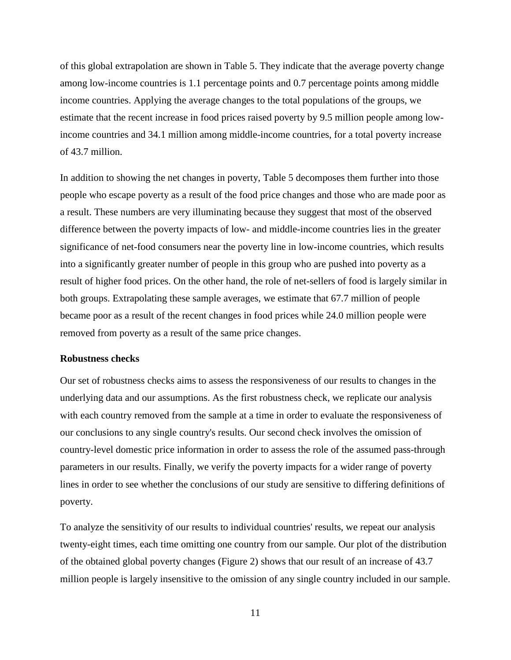of this global extrapolation are shown in Table 5. They indicate that the average poverty change among low-income countries is 1.1 percentage points and 0.7 percentage points among middle income countries. Applying the average changes to the total populations of the groups, we estimate that the recent increase in food prices raised poverty by 9.5 million people among lowincome countries and 34.1 million among middle-income countries, for a total poverty increase of 43.7 million.

In addition to showing the net changes in poverty, Table 5 decomposes them further into those people who escape poverty as a result of the food price changes and those who are made poor as a result. These numbers are very illuminating because they suggest that most of the observed difference between the poverty impacts of low- and middle-income countries lies in the greater significance of net-food consumers near the poverty line in low-income countries, which results into a significantly greater number of people in this group who are pushed into poverty as a result of higher food prices. On the other hand, the role of net-sellers of food is largely similar in both groups. Extrapolating these sample averages, we estimate that 67.7 million of people became poor as a result of the recent changes in food prices while 24.0 million people were removed from poverty as a result of the same price changes.

#### **Robustness checks**

Our set of robustness checks aims to assess the responsiveness of our results to changes in the underlying data and our assumptions. As the first robustness check, we replicate our analysis with each country removed from the sample at a time in order to evaluate the responsiveness of our conclusions to any single country's results. Our second check involves the omission of country-level domestic price information in order to assess the role of the assumed pass-through parameters in our results. Finally, we verify the poverty impacts for a wider range of poverty lines in order to see whether the conclusions of our study are sensitive to differing definitions of poverty.

To analyze the sensitivity of our results to individual countries' results, we repeat our analysis twenty-eight times, each time omitting one country from our sample. Our plot of the distribution of the obtained global poverty changes (Figure 2) shows that our result of an increase of 43.7 million people is largely insensitive to the omission of any single country included in our sample.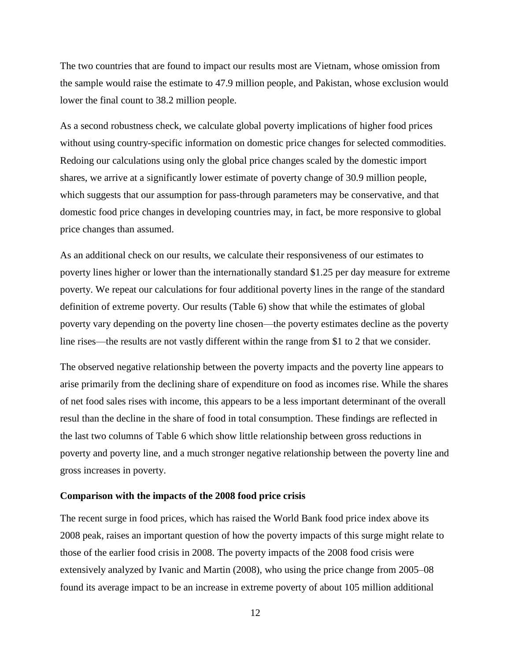The two countries that are found to impact our results most are Vietnam, whose omission from the sample would raise the estimate to 47.9 million people, and Pakistan, whose exclusion would lower the final count to 38.2 million people.

As a second robustness check, we calculate global poverty implications of higher food prices without using country-specific information on domestic price changes for selected commodities. Redoing our calculations using only the global price changes scaled by the domestic import shares, we arrive at a significantly lower estimate of poverty change of 30.9 million people, which suggests that our assumption for pass-through parameters may be conservative, and that domestic food price changes in developing countries may, in fact, be more responsive to global price changes than assumed.

As an additional check on our results, we calculate their responsiveness of our estimates to poverty lines higher or lower than the internationally standard \$1.25 per day measure for extreme poverty. We repeat our calculations for four additional poverty lines in the range of the standard definition of extreme poverty. Our results (Table 6) show that while the estimates of global poverty vary depending on the poverty line chosen—the poverty estimates decline as the poverty line rises—the results are not vastly different within the range from \$1 to 2 that we consider.

The observed negative relationship between the poverty impacts and the poverty line appears to arise primarily from the declining share of expenditure on food as incomes rise. While the shares of net food sales rises with income, this appears to be a less important determinant of the overall resul than the decline in the share of food in total consumption. These findings are reflected in the last two columns of Table 6 which show little relationship between gross reductions in poverty and poverty line, and a much stronger negative relationship between the poverty line and gross increases in poverty.

#### **Comparison with the impacts of the 2008 food price crisis**

The recent surge in food prices, which has raised the World Bank food price index above its 2008 peak, raises an important question of how the poverty impacts of this surge might relate to those of the earlier food crisis in 2008. The poverty impacts of the 2008 food crisis were extensively analyzed by Ivanic and Martin (2008), who using the price change from 2005–08 found its average impact to be an increase in extreme poverty of about 105 million additional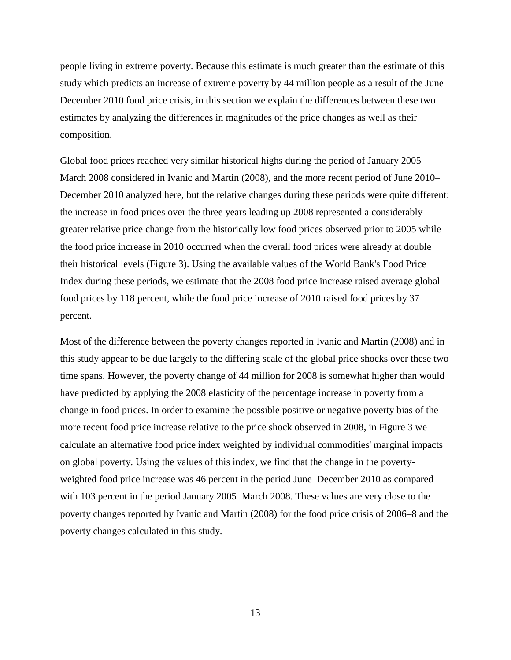people living in extreme poverty. Because this estimate is much greater than the estimate of this study which predicts an increase of extreme poverty by 44 million people as a result of the June– December 2010 food price crisis, in this section we explain the differences between these two estimates by analyzing the differences in magnitudes of the price changes as well as their composition.

Global food prices reached very similar historical highs during the period of January 2005– March 2008 considered in Ivanic and Martin (2008), and the more recent period of June 2010– December 2010 analyzed here, but the relative changes during these periods were quite different: the increase in food prices over the three years leading up 2008 represented a considerably greater relative price change from the historically low food prices observed prior to 2005 while the food price increase in 2010 occurred when the overall food prices were already at double their historical levels (Figure 3). Using the available values of the World Bank's Food Price Index during these periods, we estimate that the 2008 food price increase raised average global food prices by 118 percent, while the food price increase of 2010 raised food prices by 37 percent.

Most of the difference between the poverty changes reported in Ivanic and Martin (2008) and in this study appear to be due largely to the differing scale of the global price shocks over these two time spans. However, the poverty change of 44 million for 2008 is somewhat higher than would have predicted by applying the 2008 elasticity of the percentage increase in poverty from a change in food prices. In order to examine the possible positive or negative poverty bias of the more recent food price increase relative to the price shock observed in 2008, in Figure 3 we calculate an alternative food price index weighted by individual commodities' marginal impacts on global poverty. Using the values of this index, we find that the change in the povertyweighted food price increase was 46 percent in the period June–December 2010 as compared with 103 percent in the period January 2005–March 2008. These values are very close to the poverty changes reported by Ivanic and Martin (2008) for the food price crisis of 2006–8 and the poverty changes calculated in this study.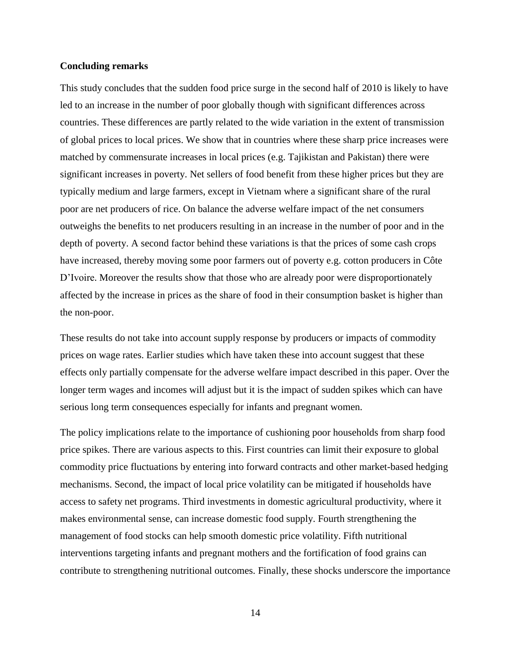#### **Concluding remarks**

This study concludes that the sudden food price surge in the second half of 2010 is likely to have led to an increase in the number of poor globally though with significant differences across countries. These differences are partly related to the wide variation in the extent of transmission of global prices to local prices. We show that in countries where these sharp price increases were matched by commensurate increases in local prices (e.g. Tajikistan and Pakistan) there were significant increases in poverty. Net sellers of food benefit from these higher prices but they are typically medium and large farmers, except in Vietnam where a significant share of the rural poor are net producers of rice. On balance the adverse welfare impact of the net consumers outweighs the benefits to net producers resulting in an increase in the number of poor and in the depth of poverty. A second factor behind these variations is that the prices of some cash crops have increased, thereby moving some poor farmers out of poverty e.g. cotton producers in Côte D'Ivoire. Moreover the results show that those who are already poor were disproportionately affected by the increase in prices as the share of food in their consumption basket is higher than the non-poor.

These results do not take into account supply response by producers or impacts of commodity prices on wage rates. Earlier studies which have taken these into account suggest that these effects only partially compensate for the adverse welfare impact described in this paper. Over the longer term wages and incomes will adjust but it is the impact of sudden spikes which can have serious long term consequences especially for infants and pregnant women.

The policy implications relate to the importance of cushioning poor households from sharp food price spikes. There are various aspects to this. First countries can limit their exposure to global commodity price fluctuations by entering into forward contracts and other market-based hedging mechanisms. Second, the impact of local price volatility can be mitigated if households have access to safety net programs. Third investments in domestic agricultural productivity, where it makes environmental sense, can increase domestic food supply. Fourth strengthening the management of food stocks can help smooth domestic price volatility. Fifth nutritional interventions targeting infants and pregnant mothers and the fortification of food grains can contribute to strengthening nutritional outcomes. Finally, these shocks underscore the importance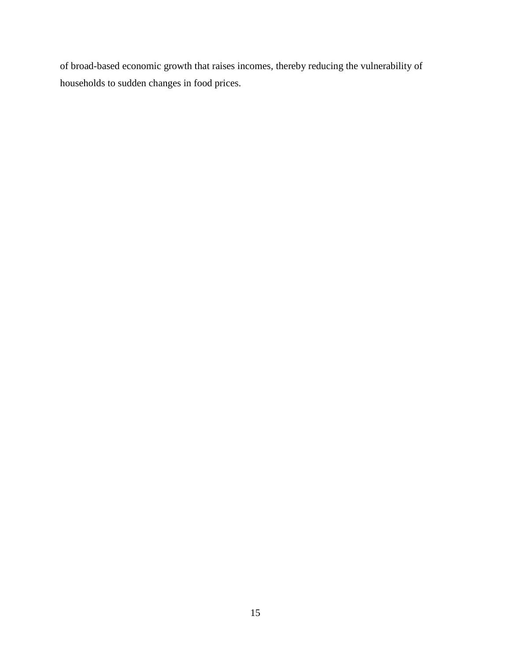of broad-based economic growth that raises incomes, thereby reducing the vulnerability of households to sudden changes in food prices.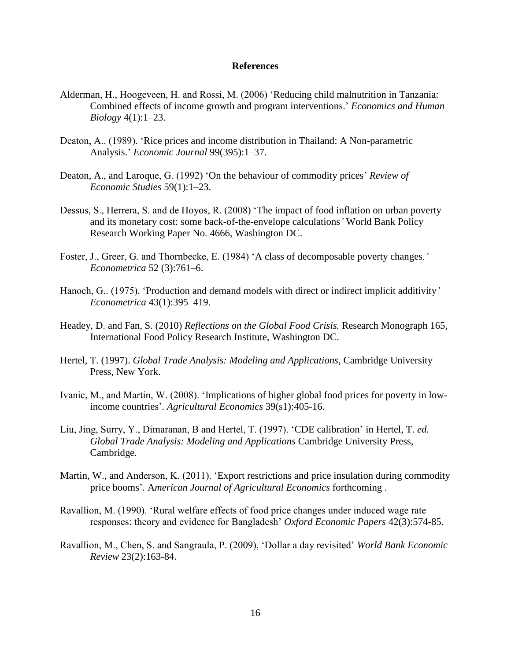#### **References**

- Alderman, H., Hoogeveen, H. and Rossi, M. (2006) 'Reducing child malnutrition in Tanzania: Combined effects of income growth and program interventions.' *Economics and Human Biology* 4(1):1–23.
- Deaton, A.. (1989). 'Rice prices and income distribution in Thailand: A Non-parametric Analysis.' *Economic Journal* 99(395):1–37.
- Deaton, A., and Laroque, G. (1992) 'On the behaviour of commodity prices' *Review of Economic Studies* 59(1):1–23.
- Dessus, S., Herrera, S. and de Hoyos, R. (2008) 'The impact of food inflation on urban poverty and its monetary cost: some back-of-the-envelope calculations*'* World Bank Policy Research Working Paper No. 4666, Washington DC.
- Foster, J., Greer, G. and Thornbecke, E. (1984) ‗A class of decomposable poverty changes*.' Econometrica* 52 (3):761–6.
- Hanoch, G.. (1975). 'Production and demand models with direct or indirect implicit additivity' *Econometrica* 43(1):395–419.
- Headey, D. and Fan, S. (2010) *Reflections on the Global Food Crisis.* Research Monograph 165, International Food Policy Research Institute, Washington DC.
- Hertel, T. (1997). *Global Trade Analysis: Modeling and Applications*, Cambridge University Press, New York.
- Ivanic, M., and Martin, W. (2008). 'Implications of higher global food prices for poverty in lowincome countries'*. Agricultural Economics* 39(s1):405-16.
- Liu, Jing, Surry, Y., Dimaranan, B and Hertel, T. (1997). ‗CDE calibration' in Hertel, T. *ed. Global Trade Analysis: Modeling and Applications* Cambridge University Press, Cambridge.
- Martin, W., and Anderson, K. (2011). 'Export restrictions and price insulation during commodity price booms'*.* A*merican Journal of Agricultural Economics* forthcoming .
- Ravallion, M. (1990). 'Rural welfare effects of food price changes under induced wage rate responses: theory and evidence for Bangladesh' *Oxford Economic Papers* 42(3):574-85.
- Ravallion, M., Chen, S. and Sangraula, P. (2009), ‗Dollar a day revisited' *World Bank Economic Review* 23(2):163-84.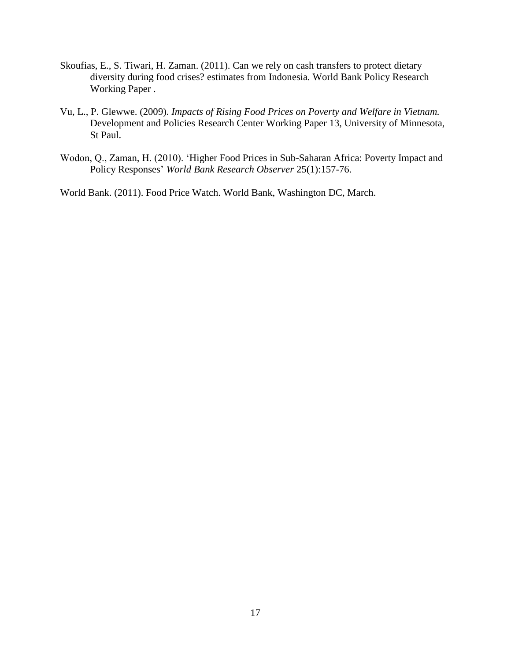- Skoufias, E., S. Tiwari, H. Zaman. (2011). Can we rely on cash transfers to protect dietary diversity during food crises? estimates from Indonesia*.* World Bank Policy Research Working Paper .
- Vu, L., P. Glewwe. (2009). *Impacts of Rising Food Prices on Poverty and Welfare in Vietnam.*  Development and Policies Research Center Working Paper 13, University of Minnesota, St Paul.
- Wodon, Q., Zaman, H. (2010). 'Higher Food Prices in Sub-Saharan Africa: Poverty Impact and [Policy Responses'](http://ideas.repec.org/a/oup/wbrobs/v25y2009i1p157-176.html) *[World Bank Research Observer](http://ideas.repec.org/s/oup/wbrobs.html)* 25(1):157-76.

World Bank. (2011). Food Price Watch. World Bank, Washington DC, March.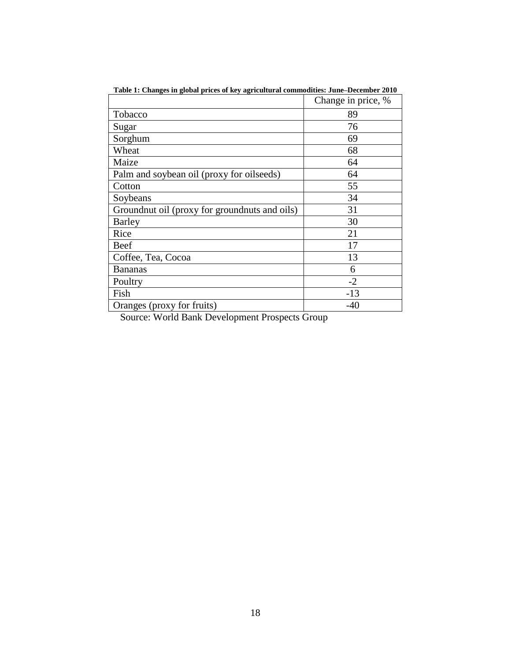|                                                 | Change in price, % |
|-------------------------------------------------|--------------------|
| Tobacco                                         | 89                 |
| Sugar                                           | 76                 |
| Sorghum                                         | 69                 |
| Wheat                                           | 68                 |
| Maize                                           | 64                 |
| Palm and soybean oil (proxy for oilseeds)       | 64                 |
| Cotton                                          | 55                 |
| Soybeans                                        | 34                 |
| Ground nut oil (proxy for ground nuts and oils) | 31                 |
| Barley                                          | 30                 |
| Rice                                            | 21                 |
| Beef                                            | 17                 |
| Coffee, Tea, Cocoa                              | 13                 |
| <b>Bananas</b>                                  | 6                  |
| Poultry                                         | $-2$               |
| Fish                                            | $-13$              |
| Oranges (proxy for fruits)                      | $-40$              |

**Table 1: Changes in global prices of key agricultural commodities: June–December 2010**

Source: World Bank Development Prospects Group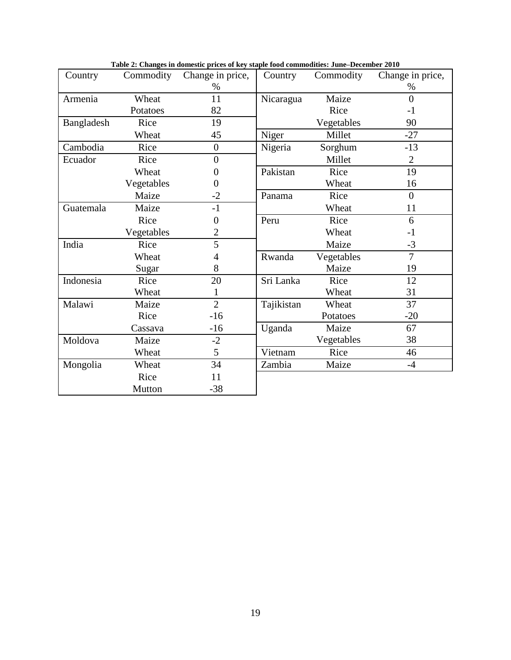| Country    | Commodity  | Change in price, | Country    | Commodity  | Change in price, |
|------------|------------|------------------|------------|------------|------------------|
|            |            | $\%$             |            |            | %                |
| Armenia    | Wheat      | 11               | Nicaragua  | Maize      | $\theta$         |
|            | Potatoes   | 82               |            | Rice       | $-1$             |
| Bangladesh | Rice       | 19               |            | Vegetables | 90               |
|            | Wheat      | 45               | Niger      | Millet     | $-27$            |
| Cambodia   | Rice       | $\overline{0}$   | Nigeria    | Sorghum    | $-13$            |
| Ecuador    | Rice       | $\overline{0}$   |            | Millet     | $\overline{2}$   |
|            | Wheat      | $\overline{0}$   | Pakistan   | Rice       | 19               |
|            | Vegetables | $\overline{0}$   |            | Wheat      | 16               |
|            | Maize      | $-2$             | Panama     | Rice       | $\Omega$         |
| Guatemala  | Maize      | $-1$             |            | Wheat      | 11               |
|            | Rice       | $\overline{0}$   | Peru       | Rice       | 6                |
|            | Vegetables | $\overline{2}$   |            | Wheat      | $-1$             |
| India      | Rice       | 5                |            | Maize      | $-3$             |
|            | Wheat      | 4                | Rwanda     | Vegetables | $\overline{7}$   |
|            | Sugar      | 8                |            | Maize      | 19               |
| Indonesia  | Rice       | 20               | Sri Lanka  | Rice       | 12               |
|            | Wheat      |                  |            | Wheat      | 31               |
| Malawi     | Maize      | $\overline{2}$   | Tajikistan | Wheat      | 37               |
|            | Rice       | $-16$            |            | Potatoes   | $-20$            |
|            | Cassava    | $-16$            | Uganda     | Maize      | 67               |
| Moldova    | Maize      | $-2$             |            | Vegetables | 38               |
|            | Wheat      | 5                | Vietnam    | Rice       | 46               |
| Mongolia   | Wheat      | 34               | Zambia     | Maize      | $-4$             |
|            | Rice       | 11               |            |            |                  |
|            | Mutton     | $-38$            |            |            |                  |

**Table 2: Changes in domestic prices of key staple food commodities: June–December 2010**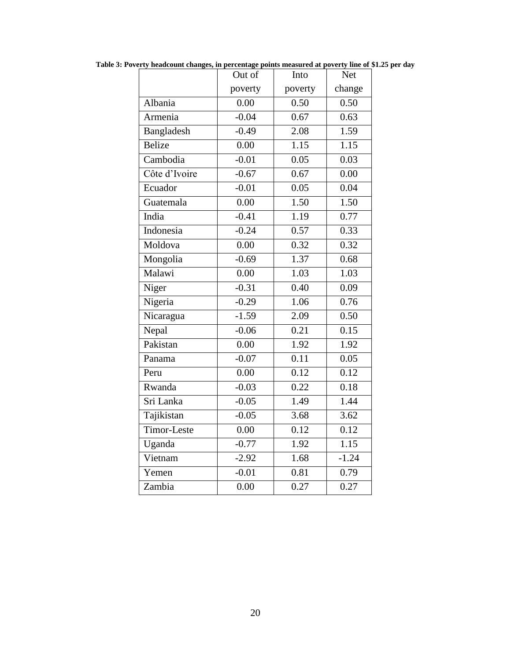|               | Out of            | Into              | <b>Net</b>        |
|---------------|-------------------|-------------------|-------------------|
|               | poverty           | poverty           | change            |
| Albania       | 0.00              | 0.50              | 0.50              |
| Armenia       | $-0.04$           | 0.67              | 0.63              |
| Bangladesh    | $-0.49$           | 2.08              | 1.59              |
| Belize        | 0.00              | 1.15              | 1.15              |
| Cambodia      | $-0.01$           | 0.05              | 0.03              |
| Côte d'Ivoire | $-0.67$           | 0.67              | 0.00              |
| Ecuador       | $-0.01$           | 0.05              | 0.04              |
| Guatemala     | 0.00              | 1.50              | 1.50              |
| India         | $-0.41$           | 1.19              | 0.77              |
| Indonesia     | $-0.24$           | 0.57              | 0.33              |
| Moldova       | $\overline{0.00}$ | 0.32              | 0.32              |
| Mongolia      | $-0.69$           | 1.37              | 0.68              |
| Malawi        | 0.00              | 1.03              | 1.03              |
| Niger         | $-0.31$           | 0.40              | 0.09              |
| Nigeria       | $-0.29$           | 1.06              | 0.76              |
| Nicaragua     | $-1.59$           | 2.09              | 0.50              |
| Nepal         | $-0.06$           | 0.21              | 0.15              |
| Pakistan      | 0.00              | 1.92              | 1.92              |
| Panama        | $-0.07$           | 0.11              | 0.05              |
| Peru          | 0.00              | 0.12              | 0.12              |
| Rwanda        | $-0.03$           | $\overline{0.22}$ | 0.18              |
| Sri Lanka     | $-0.05$           | 1.49              | 1.44              |
| Tajikistan    | $-0.05$           | $3.\overline{68}$ | 3.62              |
| Timor-Leste   | 0.00              | 0.12              | 0.12              |
| Uganda        | $-0.77$           | 1.92              | 1.15              |
| Vietnam       | $-2.92$           | 1.68              | $-1.24$           |
| Yemen         | $-0.01$           | 0.81              | 0.79              |
| Zambia        | 0.00              | 0.27              | $0.\overline{27}$ |

**Table 3: Poverty headcount changes, in percentage points measured at poverty line of \$1.25 per day**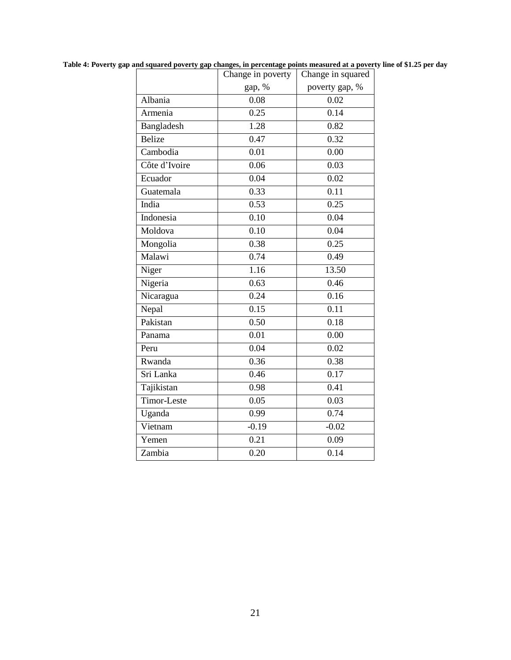|               | Change in poverty | Change in squared |
|---------------|-------------------|-------------------|
|               | gap, %            | poverty gap, %    |
| Albania       | 0.08              | 0.02              |
| Armenia       | 0.25              | 0.14              |
| Bangladesh    | 1.28              | 0.82              |
| <b>Belize</b> | 0.47              | 0.32              |
| Cambodia      | 0.01              | 0.00              |
| Côte d'Ivoire | 0.06              | 0.03              |
| Ecuador       | 0.04              | 0.02              |
| Guatemala     | 0.33              | 0.11              |
| India         | 0.53              | 0.25              |
| Indonesia     | 0.10              | 0.04              |
| Moldova       | 0.10              | 0.04              |
| Mongolia      | 0.38              | 0.25              |
| Malawi        | 0.74              | 0.49              |
| Niger         | 1.16              | 13.50             |
| Nigeria       | 0.63              | 0.46              |
| Nicaragua     | 0.24              | 0.16              |
| Nepal         | 0.15              | 0.11              |
| Pakistan      | 0.50              | 0.18              |
| Panama        | 0.01              | 0.00              |
| Peru          | 0.04              | 0.02              |
| Rwanda        | 0.36              | 0.38              |
| Sri Lanka     | 0.46              | 0.17              |
| Tajikistan    | 0.98              | 0.41              |
| Timor-Leste   | 0.05              | 0.03              |
| Uganda        | 0.99              | 0.74              |
| Vietnam       | $-0.19$           | $-0.02$           |
| Yemen         | 0.21              | 0.09              |
| Zambia        | 0.20              | 0.14              |

**Table 4: Poverty gap and squared poverty gap changes, in percentage points measured at a poverty line of \$1.25 per day**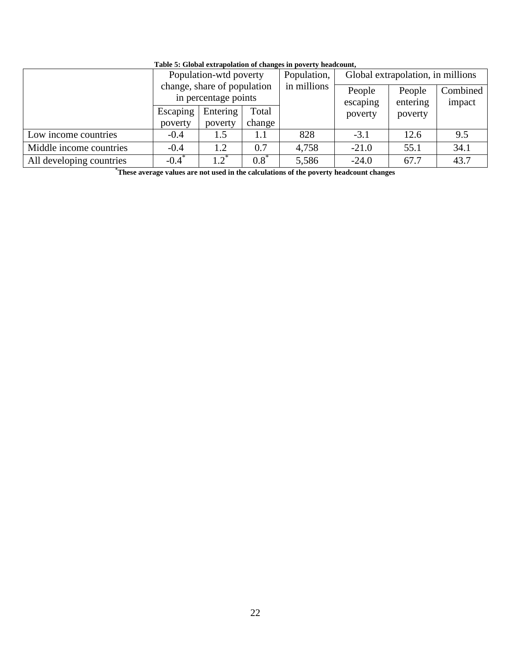|                          |                             | Population-wtd poverty                              |         | Population, | Global extrapolation, in millions |                    |                    |  |  |  |
|--------------------------|-----------------------------|-----------------------------------------------------|---------|-------------|-----------------------------------|--------------------|--------------------|--|--|--|
|                          |                             | change, share of population<br>in percentage points |         | in millions | People<br>escaping                | People<br>entering | Combined<br>impact |  |  |  |
|                          | Escaping                    | Entering<br>Total                                   |         |             | poverty                           | poverty            |                    |  |  |  |
|                          | poverty<br>poverty          |                                                     | change  |             |                                   |                    |                    |  |  |  |
| Low income countries     | 828<br>$-0.4$<br>1.5<br>1.1 |                                                     | $-3.1$  | 12.6        | 9.5                               |                    |                    |  |  |  |
| Middle income countries  | $-0.4$                      | 1.2                                                 | 0.7     | 4,758       | $-21.0$                           | 55.1               | 34.1               |  |  |  |
| All developing countries | $-0.4$ <sup>*</sup>         | $1.2^*$                                             | $0.8^*$ | 5,586       | $-24.0$                           | 67.7               | 43.7               |  |  |  |

#### **Table 5: Global extrapolation of changes in poverty headcount,**

**\*These average values are not used in the calculations of the poverty headcount changes**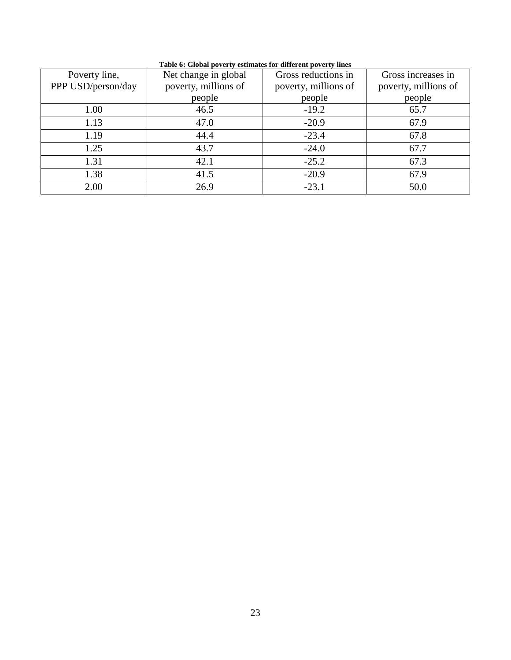| Poverty line,      | Net change in global | Gross reductions in  | Gross increases in   |
|--------------------|----------------------|----------------------|----------------------|
| PPP USD/person/day | poverty, millions of | poverty, millions of | poverty, millions of |
|                    | people               | people               | people               |
| 1.00               | 46.5                 | $-19.2$              | 65.7                 |
| 1.13               | 47.0                 | $-20.9$              | 67.9                 |
| 1.19               | 44.4                 | $-23.4$              | 67.8                 |
| 1.25               | 43.7                 | $-24.0$              | 67.7                 |
| 1.31               | 42.1                 | $-25.2$              | 67.3                 |
| 1.38               | 41.5                 | $-20.9$              | 67.9                 |
| 2.00               | 26.9                 | $-23.1$              | 50.0                 |

**Table 6: Global poverty estimates for different poverty lines**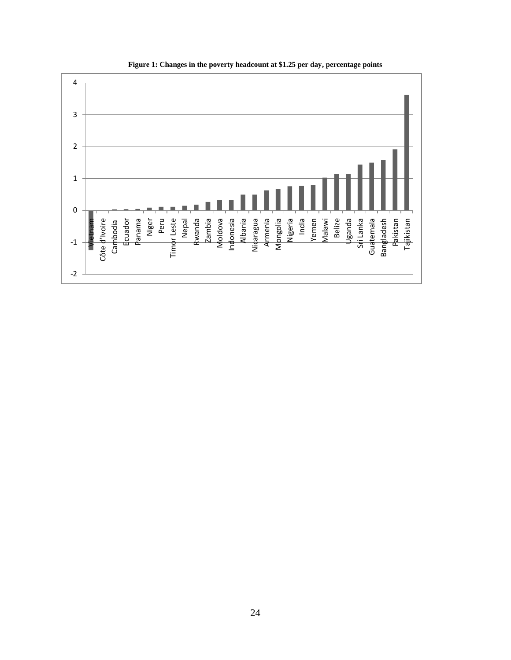

**Figure 1: Changes in the poverty headcount at \$1.25 per day, percentage points**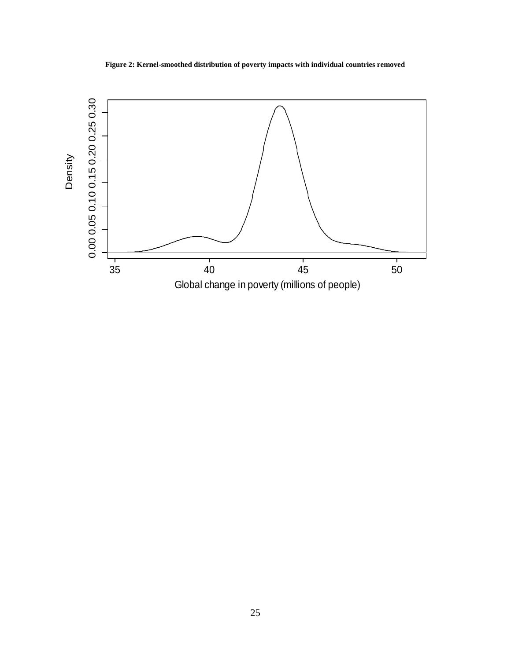**Figure 2: Kernel-smoothed distribution of poverty impacts with individual countries removed**

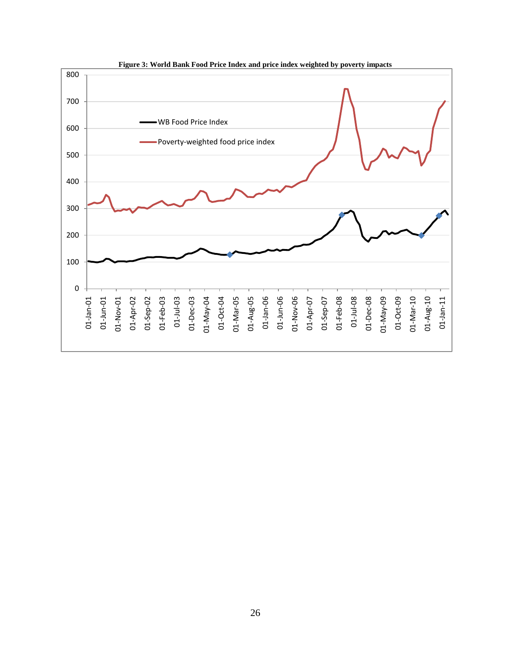

**Figure 3: World Bank Food Price Index and price index weighted by poverty impacts**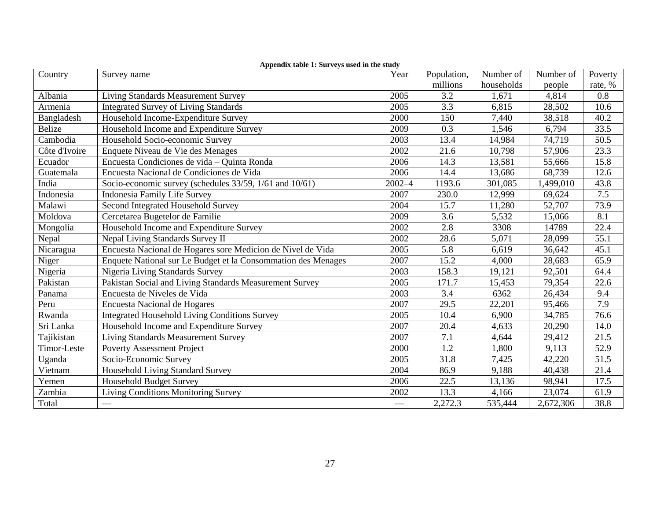|               | $\Delta$ ppenuix table 1. Sul veys used in the study          |                                |             |            |           |         |
|---------------|---------------------------------------------------------------|--------------------------------|-------------|------------|-----------|---------|
| Country       | Survey name                                                   | Year                           | Population, | Number of  | Number of | Poverty |
|               |                                                               |                                | millions    | households | people    | rate, % |
| Albania       | <b>Living Standards Measurement Survey</b>                    | 2005                           | 3.2         | 1,671      | 4,814     | 0.8     |
| Armenia       | <b>Integrated Survey of Living Standards</b>                  | 2005                           | 3.3         | 6,815      | 28,502    | 10.6    |
| Bangladesh    | Household Income-Expenditure Survey                           | 2000                           | 150         | 7,440      | 38,518    | 40.2    |
| Belize        | Household Income and Expenditure Survey                       | 2009                           | 0.3         | 1,546      | 6,794     | 33.5    |
| Cambodia      | Household Socio-economic Survey                               | 2003                           | 13.4        | 14,984     | 74,719    | 50.5    |
| Côte d'Ivoire | Enquete Niveau de Vie des Menages                             | 2002                           | 21.6        | 10,798     | 57,906    | 23.3    |
| Ecuador       | Encuesta Condiciones de vida - Quinta Ronda                   | 2006                           | 14.3        | 13,581     | 55,666    | 15.8    |
| Guatemala     | Encuesta Nacional de Condiciones de Vida                      | 2006                           | 14.4        | 13,686     | 68,739    | 12.6    |
| India         | Socio-economic survey (schedules 33/59, 1/61 and 10/61)       | $2002 - 4$                     | 1193.6      | 301,085    | 1,499,010 | 43.8    |
| Indonesia     | <b>Indonesia Family Life Survey</b>                           | 2007                           | 230.0       | 12,999     | 69,624    | 7.5     |
| Malawi        | Second Integrated Household Survey                            | 2004                           | 15.7        | 11,280     | 52,707    | 73.9    |
| Moldova       | Cercetarea Bugetelor de Familie                               | 2009                           | 3.6         | 5,532      | 15,066    | 8.1     |
| Mongolia      | Household Income and Expenditure Survey                       | 2002                           | 2.8         | 3308       | 14789     | 22.4    |
| Nepal         | Nepal Living Standards Survey II                              | 2002                           | 28.6        | 5,071      | 28,099    | 55.1    |
| Nicaragua     | Encuesta Nacional de Hogares sore Medicion de Nivel de Vida   | 2005                           | 5.8         | 6,619      | 36,642    | 45.1    |
| Niger         | Enquete National sur Le Budget et la Consommation des Menages | 2007                           | 15.2        | 4,000      | 28,683    | 65.9    |
| Nigeria       | Nigeria Living Standards Survey                               | 2003                           | 158.3       | 19,121     | 92,501    | 64.4    |
| Pakistan      | Pakistan Social and Living Standards Measurement Survey       | 2005                           | 171.7       | 15,453     | 79,354    | 22.6    |
| Panama        | Encuesta de Niveles de Vida                                   | 2003                           | 3.4         | 6362       | 26,434    | 9.4     |
| Peru          | <b>Encuesta Nacional de Hogares</b>                           | 2007                           | 29.5        | 22,201     | 95,466    | 7.9     |
| Rwanda        | <b>Integrated Household Living Conditions Survey</b>          | 2005                           | 10.4        | 6,900      | 34,785    | 76.6    |
| Sri Lanka     | Household Income and Expenditure Survey                       | 2007                           | 20.4        | 4,633      | 20,290    | 14.0    |
| Tajikistan    | Living Standards Measurement Survey                           | 2007                           | 7.1         | 4,644      | 29,412    | 21.5    |
| Timor-Leste   | <b>Poverty Assessment Project</b>                             | 2000                           | 1.2         | 1,800      | 9,113     | 52.9    |
| Uganda        | Socio-Economic Survey                                         | 2005                           | 31.8        | 7,425      | 42,220    | 51.5    |
| Vietnam       | Household Living Standard Survey                              | 2004                           | 86.9        | 9,188      | 40,438    | 21.4    |
| Yemen         | <b>Household Budget Survey</b>                                | 2006                           | 22.5        | 13,136     | 98,941    | 17.5    |
| Zambia        | <b>Living Conditions Monitoring Survey</b>                    | 2002                           | 13.3        | 4,166      | 23,074    | 61.9    |
| Total         |                                                               | $\overbrace{\hspace{27mm}}^{}$ | 2,272.3     | 535,444    | 2,672,306 | 38.8    |

#### **Appendix table 1: Surveys used in the study**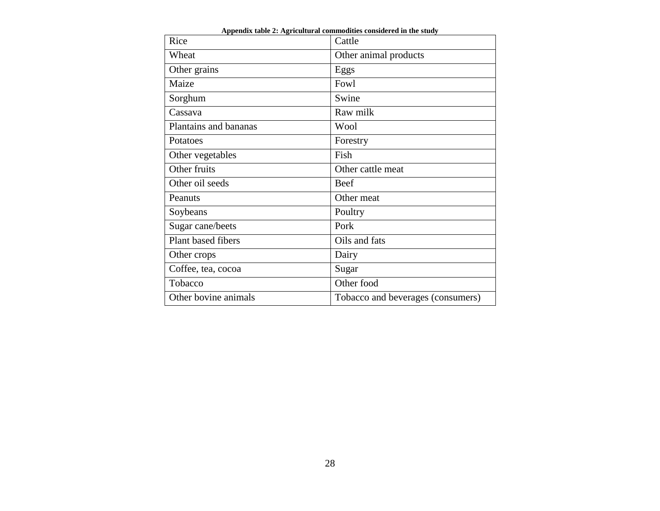| Rice                  | Cattle                            |
|-----------------------|-----------------------------------|
| Wheat                 | Other animal products             |
| Other grains          | Eggs                              |
| Maize                 | Fowl                              |
| Sorghum               | Swine                             |
| Cassava               | Raw milk                          |
| Plantains and bananas | Wool                              |
| Potatoes              | Forestry                          |
| Other vegetables      | Fish                              |
| Other fruits          | Other cattle meat                 |
| Other oil seeds       | <b>Beef</b>                       |
| Peanuts               | Other meat                        |
| Soybeans              | Poultry                           |
| Sugar cane/beets      | Pork                              |
| Plant based fibers    | Oils and fats                     |
| Other crops           | Dairy                             |
| Coffee, tea, cocoa    | Sugar                             |
| Tobacco               | Other food                        |
| Other bovine animals  | Tobacco and beverages (consumers) |

**Appendix table 2: Agricultural commodities considered in the study**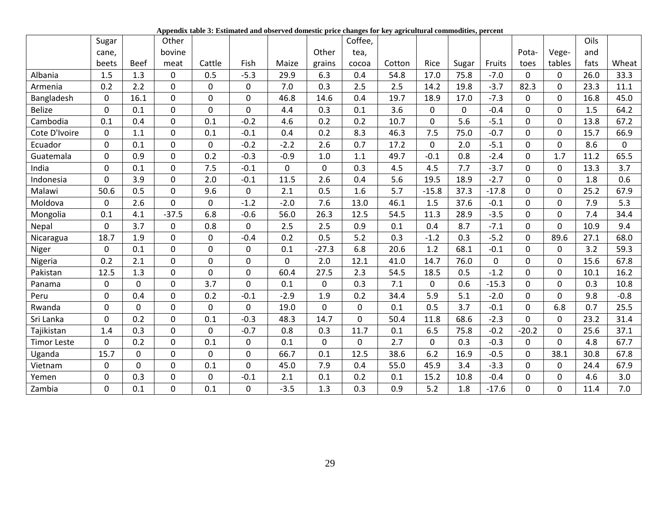**Appendix table 3: Estimated and observed domestic price changes for key agricultural commodities, percent**

|                    | Sugar        |                | Other          |             |                |             |             | Coffee,     |        |              |             |         |             |             | Oils |             |
|--------------------|--------------|----------------|----------------|-------------|----------------|-------------|-------------|-------------|--------|--------------|-------------|---------|-------------|-------------|------|-------------|
|                    | cane,        |                | bovine         |             |                |             | Other       | tea,        |        |              |             |         | Pota-       | Vege-       | and  |             |
|                    | beets        | <b>Beef</b>    | meat           | Cattle      | Fish           | Maize       | grains      | cocoa       | Cotton | Rice         | Sugar       | Fruits  | toes        | tables      | fats | Wheat       |
| Albania            | 1.5          | 1.3            | $\mathbf 0$    | 0.5         | $-5.3$         | 29.9        | 6.3         | 0.4         | 54.8   | 17.0         | 75.8        | $-7.0$  | 0           | $\mathbf 0$ | 26.0 | 33.3        |
| Armenia            | 0.2          | 2.2            | 0              | $\mathbf 0$ | 0              | 7.0         | 0.3         | 2.5         | 2.5    | 14.2         | 19.8        | $-3.7$  | 82.3        | $\Omega$    | 23.3 | 11.1        |
| Bangladesh         | $\mathbf{0}$ | 16.1           | $\mathbf 0$    | $\pmb{0}$   | 0              | 46.8        | 14.6        | 0.4         | 19.7   | 18.9         | 17.0        | $-7.3$  | 0           | $\Omega$    | 16.8 | 45.0        |
| <b>Belize</b>      | 0            | 0.1            | $\overline{0}$ | $\mathbf 0$ | $\overline{0}$ | 4.4         | 0.3         | 0.1         | 3.6    | $\mathbf{0}$ | $\mathbf 0$ | $-0.4$  | $\Omega$    | $\Omega$    | 1.5  | 64.2        |
| Cambodia           | 0.1          | 0.4            | $\mathbf 0$    | 0.1         | $-0.2$         | 4.6         | 0.2         | 0.2         | 10.7   | $\mathbf 0$  | 5.6         | $-5.1$  | $\Omega$    | $\Omega$    | 13.8 | 67.2        |
| Cote D'Ivoire      | $\mathbf 0$  | 1.1            | $\mathbf 0$    | 0.1         | $-0.1$         | 0.4         | 0.2         | 8.3         | 46.3   | 7.5          | 75.0        | $-0.7$  | 0           | $\Omega$    | 15.7 | 66.9        |
| Ecuador            | $\mathbf{0}$ | 0.1            | $\mathbf 0$    | $\pmb{0}$   | $-0.2$         | $-2.2$      | 2.6         | 0.7         | 17.2   | $\mathbf{0}$ | 2.0         | $-5.1$  | $\mathbf 0$ | $\mathbf 0$ | 8.6  | $\mathbf 0$ |
| Guatemala          | $\Omega$     | 0.9            | $\mathbf{0}$   | 0.2         | $-0.3$         | $-0.9$      | 1.0         | 1.1         | 49.7   | $-0.1$       | 0.8         | $-2.4$  | $\Omega$    | 1.7         | 11.2 | 65.5        |
| India              | 0            | 0.1            | $\overline{0}$ | 7.5         | $-0.1$         | $\mathbf 0$ | $\mathbf 0$ | 0.3         | 4.5    | 4.5          | 7.7         | $-3.7$  | $\Omega$    | $\Omega$    | 13.3 | 3.7         |
| Indonesia          | 0            | 3.9            | $\pmb{0}$      | 2.0         | $-0.1$         | 11.5        | 2.6         | 0.4         | 5.6    | 19.5         | 18.9        | $-2.7$  | $\mathbf 0$ | $\mathbf 0$ | 1.8  | 0.6         |
| Malawi             | 50.6         | 0.5            | $\mathbf 0$    | 9.6         | 0              | 2.1         | 0.5         | 1.6         | 5.7    | $-15.8$      | 37.3        | $-17.8$ | $\Omega$    | $\Omega$    | 25.2 | 67.9        |
| Moldova            | $\Omega$     | 2.6            | $\mathbf{0}$   | $\mathbf 0$ | $-1.2$         | $-2.0$      | 7.6         | 13.0        | 46.1   | 1.5          | 37.6        | $-0.1$  | $\Omega$    | $\Omega$    | 7.9  | 5.3         |
| Mongolia           | 0.1          | 4.1            | $-37.5$        | 6.8         | $-0.6$         | 56.0        | 26.3        | 12.5        | 54.5   | 11.3         | 28.9        | $-3.5$  | $\Omega$    | $\Omega$    | 7.4  | 34.4        |
| Nepal              | $\Omega$     | 3.7            | $\mathbf 0$    | 0.8         | $\overline{0}$ | 2.5         | 2.5         | 0.9         | 0.1    | 0.4          | 8.7         | $-7.1$  | $\Omega$    | $\Omega$    | 10.9 | 9.4         |
| Nicaragua          | 18.7         | 1.9            | $\mathbf 0$    | $\mathbf 0$ | $-0.4$         | 0.2         | 0.5         | 5.2         | 0.3    | $-1.2$       | 0.3         | $-5.2$  | $\Omega$    | 89.6        | 27.1 | 68.0        |
| Niger              | $\mathbf 0$  | 0.1            | $\pmb{0}$      | $\mathbf 0$ | 0              | 0.1         | $-27.3$     | 6.8         | 20.6   | 1.2          | 68.1        | $-0.1$  | 0           | $\mathbf 0$ | 3.2  | 59.3        |
| Nigeria            | 0.2          | 2.1            | 0              | $\mathbf 0$ | $\overline{0}$ | 0           | 2.0         | 12.1        | 41.0   | 14.7         | 76.0        | 0       | $\Omega$    | $\Omega$    | 15.6 | 67.8        |
| Pakistan           | 12.5         | 1.3            | $\mathbf 0$    | $\mathbf 0$ | 0              | 60.4        | 27.5        | 2.3         | 54.5   | 18.5         | 0.5         | $-1.2$  | $\Omega$    | $\Omega$    | 10.1 | 16.2        |
| Panama             | 0            | $\mathbf 0$    | $\mathbf 0$    | 3.7         | $\overline{0}$ | 0.1         | $\mathbf 0$ | 0.3         | 7.1    | $\mathbf{0}$ | 0.6         | $-15.3$ | $\Omega$    | $\Omega$    | 0.3  | 10.8        |
| Peru               | $\mathbf 0$  | 0.4            | $\mathbf 0$    | 0.2         | $-0.1$         | $-2.9$      | 1.9         | 0.2         | 34.4   | 5.9          | 5.1         | $-2.0$  | $\Omega$    | $\Omega$    | 9.8  | $-0.8$      |
| Rwanda             | 0            | 0              | $\mathbf 0$    | $\mathbf 0$ | 0              | 19.0        | 0           | $\mathbf 0$ | 0.1    | 0.5          | 3.7         | $-0.1$  | 0           | 6.8         | 0.7  | 25.5        |
| Sri Lanka          | $\mathbf 0$  | 0.2            | $\mathbf 0$    | 0.1         | $-0.3$         | 48.3        | 14.7        | $\mathbf 0$ | 50.4   | 11.8         | 68.6        | $-2.3$  | $\Omega$    | $\Omega$    | 23.2 | 31.4        |
| Tajikistan         | 1.4          | 0.3            | $\mathbf 0$    | $\mathbf 0$ | $-0.7$         | 0.8         | 0.3         | 11.7        | 0.1    | 6.5          | 75.8        | $-0.2$  | $-20.2$     | $\Omega$    | 25.6 | 37.1        |
| <b>Timor Leste</b> | 0            | 0.2            | $\mathbf 0$    | 0.1         | 0              | 0.1         | $\mathbf 0$ | $\mathbf 0$ | 2.7    | $\mathbf{0}$ | 0.3         | $-0.3$  | $\Omega$    | $\Omega$    | 4.8  | 67.7        |
| Uganda             | 15.7         | $\mathbf 0$    | $\mathbf 0$    | $\mathbf 0$ | 0              | 66.7        | 0.1         | 12.5        | 38.6   | 6.2          | 16.9        | $-0.5$  | $\Omega$    | 38.1        | 30.8 | 67.8        |
| Vietnam            | 0            | $\overline{0}$ | 0              | 0.1         | 0              | 45.0        | 7.9         | 0.4         | 55.0   | 45.9         | 3.4         | $-3.3$  | $\mathbf 0$ | $\mathbf 0$ | 24.4 | 67.9        |
| Yemen              | 0            | 0.3            | 0              | $\mathbf 0$ | $-0.1$         | 2.1         | 0.1         | 0.2         | 0.1    | 15.2         | 10.8        | $-0.4$  | $\Omega$    | $\Omega$    | 4.6  | 3.0         |
| Zambia             | 0            | 0.1            | 0              | 0.1         | 0              | $-3.5$      | 1.3         | 0.3         | 0.9    | 5.2          | 1.8         | $-17.6$ | $\Omega$    | $\Omega$    | 11.4 | 7.0         |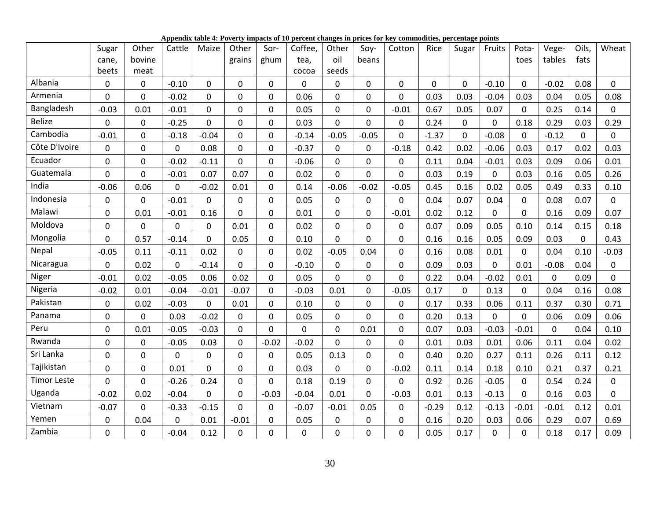**Appendix table 4: Poverty impacts of 10 percent changes in prices for key commodities, percentage points**

|                    | Sugar          | Other          | Cattle      | Maize        | Other        | Sor-           | Coffee,        | Other            | Soy-        | Cotton         | Rice           | Sugar       | Fruits      | Pota-        | Vege-       | Oils,    | Wheat       |
|--------------------|----------------|----------------|-------------|--------------|--------------|----------------|----------------|------------------|-------------|----------------|----------------|-------------|-------------|--------------|-------------|----------|-------------|
|                    | cane,          | bovine         |             |              | grains       | ghum           | tea,           | oil              | beans       |                |                |             |             | toes         | tables      | fats     |             |
|                    | beets          | meat           |             |              |              |                | cocoa          | seeds            |             |                |                |             |             |              |             |          |             |
| Albania            | $\mathbf 0$    | 0              | $-0.10$     | $\mathbf 0$  | 0            | $\mathbf 0$    | $\mathbf 0$    | 0                | $\mathbf 0$ | $\mathbf 0$    | $\overline{0}$ | $\mathbf 0$ | $-0.10$     | $\mathbf{0}$ | $-0.02$     | 0.08     | $\mathbf 0$ |
| Armenia            | $\mathbf 0$    | 0              | $-0.02$     | $\mathbf 0$  | $\mathbf 0$  | $\mathbf 0$    | 0.06           | 0                | $\mathbf 0$ | $\mathbf 0$    | 0.03           | 0.03        | $-0.04$     | 0.03         | 0.04        | 0.05     | 0.08        |
| Bangladesh         | $-0.03$        | 0.01           | $-0.01$     | $\mathbf 0$  | $\mathbf 0$  | $\pmb{0}$      | 0.05           | 0                | $\mathbf 0$ | $-0.01$        | 0.67           | 0.05        | 0.07        | $\mathbf 0$  | 0.25        | 0.14     | $\Omega$    |
| <b>Belize</b>      | $\mathbf 0$    | 0              | $-0.25$     | $\mathbf{0}$ | $\mathbf 0$  | $\pmb{0}$      | 0.03           | 0                | $\mathbf 0$ | 0              | 0.24           | 0           | 0           | 0.18         | 0.29        | 0.03     | 0.29        |
| Cambodia           | $-0.01$        | $\mathbf 0$    | $-0.18$     | $-0.04$      | 0            | $\mathbf 0$    | $-0.14$        | $-0.05$          | $-0.05$     | 0              | $-1.37$        | $\mathbf 0$ | $-0.08$     | $\mathbf 0$  | $-0.12$     | 0        | $\mathbf 0$ |
| Côte D'Ivoire      | $\pmb{0}$      | 0              | 0           | 0.08         | $\mathbf 0$  | $\pmb{0}$      | $-0.37$        | 0                | $\pmb{0}$   | $-0.18$        | 0.42           | 0.02        | $-0.06$     | 0.03         | 0.17        | 0.02     | 0.03        |
| Ecuador            | $\pmb{0}$      | 0              | $-0.02$     | $-0.11$      | $\mathbf 0$  | $\mathbf 0$    | $-0.06$        | $\mathbf 0$      | $\mathbf 0$ | $\mathbf 0$    | 0.11           | 0.04        | $-0.01$     | 0.03         | 0.09        | 0.06     | 0.01        |
| Guatemala          | $\overline{0}$ | $\overline{0}$ | $-0.01$     | 0.07         | 0.07         | $\mathbf 0$    | 0.02           | 0                | $\mathbf 0$ | $\overline{0}$ | 0.03           | 0.19        | $\mathbf 0$ | 0.03         | 0.16        | 0.05     | 0.26        |
| India              | $-0.06$        | 0.06           | 0           | $-0.02$      | 0.01         | $\pmb{0}$      | 0.14           | $-0.06$          | $-0.02$     | $-0.05$        | 0.45           | 0.16        | 0.02        | 0.05         | 0.49        | 0.33     | 0.10        |
| Indonesia          | $\mathbf 0$    | 0              | $-0.01$     | $\mathbf{0}$ | $\mathbf 0$  | $\mathbf 0$    | 0.05           | 0                | $\mathbf 0$ | $\mathbf 0$    | 0.04           | 0.07        | 0.04        | $\mathbf 0$  | 0.08        | 0.07     | $\Omega$    |
| Malawi             | $\pmb{0}$      | 0.01           | $-0.01$     | 0.16         | $\mathbf{0}$ | $\mathbf 0$    | 0.01           | $\mathbf 0$      | $\mathbf 0$ | $-0.01$        | 0.02           | 0.12        | $\mathbf 0$ | $\mathbf{0}$ | 0.16        | 0.09     | 0.07        |
| Moldova            | $\mathbf 0$    | 0              | $\mathbf 0$ | $\mathbf 0$  | 0.01         | $\mathbf 0$    | 0.02           | $\mathbf 0$      | $\mathbf 0$ | $\mathbf 0$    | 0.07           | 0.09        | 0.05        | 0.10         | 0.14        | 0.15     | 0.18        |
| Mongolia           | $\mathbf 0$    | 0.57           | $-0.14$     | $\mathbf{0}$ | 0.05         | $\mathbf 0$    | 0.10           | 0                | $\mathbf 0$ | $\mathbf 0$    | 0.16           | 0.16        | 0.05        | 0.09         | 0.03        | $\Omega$ | 0.43        |
| Nepal              | $-0.05$        | 0.11           | $-0.11$     | 0.02         | $\mathbf{0}$ | $\mathbf 0$    | 0.02           | $-0.05$          | 0.04        | $\overline{0}$ | 0.16           | 0.08        | 0.01        | $\mathbf{0}$ | 0.04        | 0.10     | $-0.03$     |
| Nicaragua          | $\pmb{0}$      | 0.02           | 0           | $-0.14$      | 0            | $\pmb{0}$      | $-0.10$        | $\mathbf 0$      | $\pmb{0}$   | $\mathbf 0$    | 0.09           | 0.03        | $\pmb{0}$   | 0.01         | $-0.08$     | 0.04     | $\mathbf 0$ |
| Niger              | $-0.01$        | 0.02           | $-0.05$     | 0.06         | 0.02         | $\mathbf 0$    | 0.05           | $\mathbf 0$      | $\mathbf 0$ | $\mathbf 0$    | 0.22           | 0.04        | $-0.02$     | 0.01         | $\mathbf 0$ | 0.09     | $\mathbf 0$ |
| Nigeria            | $-0.02$        | 0.01           | $-0.04$     | $-0.01$      | $-0.07$      | $\overline{0}$ | $-0.03$        | 0.01             | $\mathbf 0$ | $-0.05$        | 0.17           | $\mathbf 0$ | 0.13        | $\mathbf{0}$ | 0.04        | 0.16     | 0.08        |
| Pakistan           | $\pmb{0}$      | 0.02           | $-0.03$     | $\mathbf 0$  | 0.01         | $\pmb{0}$      | 0.10           | $\boldsymbol{0}$ | $\mathbf 0$ | $\mathbf 0$    | 0.17           | 0.33        | 0.06        | 0.11         | 0.37        | 0.30     | 0.71        |
| Panama             | $\mathbf 0$    | 0              | 0.03        | $-0.02$      | $\mathbf 0$  | $\mathbf 0$    | 0.05           | 0                | $\mathbf 0$ | $\overline{0}$ | 0.20           | 0.13        | $\mathbf 0$ | $\Omega$     | 0.06        | 0.09     | 0.06        |
| Peru               | $\mathbf 0$    | 0.01           | $-0.05$     | $-0.03$      | $\mathbf 0$  | $\mathbf 0$    | $\mathbf 0$    | $\mathbf 0$      | 0.01        | $\mathbf 0$    | 0.07           | 0.03        | $-0.03$     | $-0.01$      | $\mathbf 0$ | 0.04     | 0.10        |
| Rwanda             | $\pmb{0}$      | 0              | $-0.05$     | 0.03         | $\mathbf 0$  | $-0.02$        | $-0.02$        | 0                | $\mathbf 0$ | $\mathbf 0$    | 0.01           | 0.03        | 0.01        | 0.06         | 0.11        | 0.04     | 0.02        |
| Sri Lanka          | $\mathbf 0$    | 0              | $\Omega$    | $\mathbf{0}$ | $\mathbf 0$  | $\pmb{0}$      | 0.05           | 0.13             | $\mathbf 0$ | $\overline{0}$ | 0.40           | 0.20        | 0.27        | 0.11         | 0.26        | 0.11     | 0.12        |
| Tajikistan         | $\mathbf 0$    | 0              | 0.01        | $\mathbf 0$  | $\mathbf 0$  | $\mathbf 0$    | 0.03           | 0                | $\mathbf 0$ | $-0.02$        | 0.11           | 0.14        | 0.18        | 0.10         | 0.21        | 0.37     | 0.21        |
| <b>Timor Leste</b> | $\mathbf 0$    | $\mathbf 0$    | $-0.26$     | 0.24         | 0            | $\mathbf 0$    | 0.18           | 0.19             | $\mathbf 0$ | $\mathbf 0$    | 0.92           | 0.26        | $-0.05$     | $\mathbf{0}$ | 0.54        | 0.24     | $\mathbf 0$ |
| Uganda             | $-0.02$        | 0.02           | $-0.04$     | $\mathbf 0$  | $\mathbf 0$  | $-0.03$        | $-0.04$        | 0.01             | $\mathbf 0$ | $-0.03$        | 0.01           | 0.13        | $-0.13$     | $\mathbf 0$  | 0.16        | 0.03     | $\mathbf 0$ |
| Vietnam            | $-0.07$        | 0              | $-0.33$     | $-0.15$      | 0            | $\mathbf 0$    | $-0.07$        | $-0.01$          | 0.05        | $\mathbf 0$    | $-0.29$        | 0.12        | $-0.13$     | $-0.01$      | $-0.01$     | 0.12     | 0.01        |
| Yemen              | 0              | 0.04           | 0           | 0.01         | $-0.01$      | $\pmb{0}$      | 0.05           | 0                | $\mathbf 0$ | $\mathbf 0$    | 0.16           | 0.20        | 0.03        | 0.06         | 0.29        | 0.07     | 0.69        |
| Zambia             | $\mathbf 0$    | $\overline{0}$ | $-0.04$     | 0.12         | $\mathbf{0}$ | $\overline{0}$ | $\overline{0}$ | 0                | $\mathbf 0$ | $\overline{0}$ | 0.05           | 0.17        | 0           | $\mathbf{0}$ | 0.18        | 0.17     | 0.09        |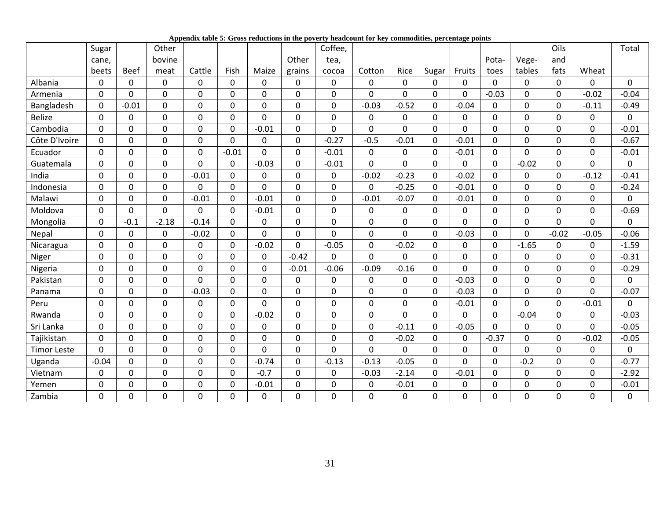|  |  |  |  | Appendix table 5: Gross reductions in the poverty headcount for key commodities, percentage points |  |
|--|--|--|--|----------------------------------------------------------------------------------------------------|--|
|  |  |  |  |                                                                                                    |  |

|                    | Sugar   |             | Other          |              |             |                  |                | Coffee,        |                |                |                |                |             |                | Oils     |                | Total   |
|--------------------|---------|-------------|----------------|--------------|-------------|------------------|----------------|----------------|----------------|----------------|----------------|----------------|-------------|----------------|----------|----------------|---------|
|                    | cane,   |             | bovine         |              |             |                  | Other          | tea,           |                |                |                |                | Pota-       | Vege-          | and      |                |         |
|                    | beets   | <b>Beef</b> | meat           | Cattle       | Fish        | Maize            | grains         | cocoa          | Cotton         | Rice           | Sugar          | Fruits         | toes        | tables         | fats     | Wheat          |         |
| Albania            | 0       | 0           | 0              | $\Omega$     | 0           | 0                | 0              | $\Omega$       | 0              | $\Omega$       | 0              | 0              | $\mathbf 0$ | 0              | 0        | $\Omega$       | 0       |
| Armenia            | 0       | 0           | $\mathbf 0$    | 0            | 0           | $\overline{0}$   | $\mathbf 0$    | $\overline{0}$ | $\overline{0}$ | $\overline{0}$ | $\overline{0}$ | $\mathbf 0$    | $-0.03$     | 0              | 0        | $-0.02$        | $-0.04$ |
| Bangladesh         | 0       | $-0.01$     | $\mathbf 0$    | 0            | 0           | $\mathbf 0$      | $\mathbf 0$    | $\mathbf 0$    | $-0.03$        | $-0.52$        | 0              | $-0.04$        | $\mathbf 0$ | 0              | 0        | $-0.11$        | $-0.49$ |
| <b>Belize</b>      | 0       | $\mathbf 0$ | $\mathbf 0$    | $\mathbf 0$  | 0           | $\mathbf 0$      | $\mathbf 0$    | 0              | 0              | $\mathbf 0$    | 0              | $\mathbf 0$    | $\mathbf 0$ | 0              | 0        | 0              | 0       |
| Cambodia           | 0       | $\mathbf 0$ | $\mathbf 0$    | 0            | 0           | $-0.01$          | $\mathbf 0$    | $\overline{0}$ | $\overline{0}$ | $\overline{0}$ | 0              | $\overline{0}$ | $\mathbf 0$ | 0              | $\Omega$ | 0              | $-0.01$ |
| Côte D'Ivoire      | 0       | $\mathbf 0$ | $\pmb{0}$      | $\mathbf 0$  | 0           | $\boldsymbol{0}$ | $\pmb{0}$      | $-0.27$        | $-0.5$         | $-0.01$        | 0              | $-0.01$        | $\pmb{0}$   | 0              | 0        | 0              | $-0.67$ |
| Ecuador            | 0       | $\mathbf 0$ | $\overline{0}$ | 0            | $-0.01$     | $\Omega$         | $\overline{0}$ | $-0.01$        | $\mathbf 0$    | $\mathbf 0$    | $\Omega$       | $-0.01$        | $\mathbf 0$ | $\overline{0}$ | $\Omega$ | 0              | $-0.01$ |
| Guatemala          | 0       | 0           | $\pmb{0}$      | 0            | 0           | $-0.03$          | 0              | $-0.01$        | $\overline{0}$ | 0              | 0              | 0              | $\pmb{0}$   | $-0.02$        | 0        | 0              | 0       |
| India              | 0       | $\mathbf 0$ | $\mathbf 0$    | $-0.01$      | 0           | $\mathbf{0}$     | $\mathbf 0$    | 0              | $-0.02$        | $-0.23$        | 0              | $-0.02$        | $\mathbf 0$ | 0              | 0        | $-0.12$        | $-0.41$ |
| Indonesia          | 0       | $\mathbf 0$ | $\pmb{0}$      | 0            | 0           | $\mathbf 0$      | $\mathbf 0$    | 0              | $\mathbf 0$    | $-0.25$        | 0              | $-0.01$        | $\mathbf 0$ | 0              | 0        | 0              | $-0.24$ |
| Malawi             | 0       | $\mathbf 0$ | $\pmb{0}$      | $-0.01$      | 0           | $-0.01$          | 0              | $\mathbf 0$    | $-0.01$        | $-0.07$        | 0              | $-0.01$        | $\mathbf 0$ | 0              | 0        | 0              | 0       |
| Moldova            | 0       | 0           | $\mathbf 0$    | 0            | 0           | $-0.01$          | 0              | $\mathbf 0$    | $\mathbf 0$    | $\mathbf 0$    | 0              | $\mathbf 0$    | $\mathbf 0$ | 0              | 0        | 0              | $-0.69$ |
| Mongolia           | 0       | $-0.1$      | $-2.18$        | $-0.14$      | 0           | $\Omega$         | $\overline{0}$ | $\Omega$       | 0              | $\Omega$       | $\Omega$       | $\Omega$       | $\mathbf 0$ | 0              | $\Omega$ | $\Omega$       | 0       |
| Nepal              | 0       | $\mathbf 0$ | $\mathbf 0$    | $-0.02$      | 0           | 0                | $\mathbf 0$    | $\mathbf 0$    | 0              | 0              | 0              | $-0.03$        | $\mathbf 0$ | 0              | $-0.02$  | $-0.05$        | $-0.06$ |
| Nicaragua          | 0       | 0           | $\mathbf 0$    | 0            | 0           | $-0.02$          | 0              | $-0.05$        | $\mathbf 0$    | $-0.02$        | 0              | $\mathbf 0$    | $\mathbf 0$ | $-1.65$        | $\Omega$ | 0              | $-1.59$ |
| Niger              | 0       | $\mathbf 0$ | $\pmb{0}$      | 0            | 0           | 0                | $-0.42$        | 0              | 0              | $\mathbf 0$    | 0              | $\mathbf 0$    | $\mathbf 0$ | 0              | 0        | 0              | $-0.31$ |
| Nigeria            | 0       | $\mathbf 0$ | $\overline{0}$ | 0            | 0           | $\mathbf 0$      | $-0.01$        | $-0.06$        | $-0.09$        | $-0.16$        | 0              | 0              | $\mathbf 0$ | $\overline{0}$ | $\Omega$ | 0              | $-0.29$ |
| Pakistan           | 0       | $\mathbf 0$ | $\mathbf 0$    | $\Omega$     | 0           | $\mathbf 0$      | 0              | $\Omega$       | 0              | 0              | 0              | $-0.03$        | $\mathbf 0$ | 0              | $\Omega$ | 0              | 0       |
| Panama             | 0       | $\mathbf 0$ | $\overline{0}$ | $-0.03$      | $\Omega$    | $\Omega$         | $\overline{0}$ | $\Omega$       | $\Omega$       | $\Omega$       | $\Omega$       | $-0.03$        | $\mathbf 0$ | $\overline{0}$ | $\Omega$ | $\Omega$       | $-0.07$ |
| Peru               | 0       | 0           | $\mathbf 0$    | 0            | $\Omega$    | $\Omega$         | $\mathbf 0$    | $\mathbf 0$    | 0              | $\Omega$       | 0              | $-0.01$        | 0           | 0              | 0        | $-0.01$        | 0       |
| Rwanda             | 0       | 0           | $\mathbf 0$    | $\mathbf{0}$ | 0           | $-0.02$          | $\overline{0}$ | $\mathbf 0$    | $\overline{0}$ | $\overline{0}$ | 0              | $\mathbf{0}$   | $\mathbf 0$ | $-0.04$        | 0        | 0              | $-0.03$ |
| Sri Lanka          | 0       | $\mathbf 0$ | $\mathbf 0$    | 0            | 0           | $\mathbf{0}$     | $\mathbf 0$    | $\mathbf 0$    | $\overline{0}$ | $-0.11$        | 0              | $-0.05$        | $\mathbf 0$ | 0              | 0        | $\overline{0}$ | $-0.05$ |
| Tajikistan         | 0       | $\mathbf 0$ | $\mathbf 0$    | $\Omega$     | 0           | 0                | $\overline{0}$ | $\Omega$       | $\mathbf 0$    | $-0.02$        | 0              | $\Omega$       | $-0.37$     | 0              | $\Omega$ | $-0.02$        | $-0.05$ |
| <b>Timor Leste</b> | 0       | 0           | $\mathbf 0$    | 0            | 0           | 0                | $\mathbf 0$    | $\mathbf 0$    | $\overline{0}$ | 0              | 0              | $\overline{0}$ | $\mathbf 0$ | 0              | $\Omega$ | 0              | 0       |
| Uganda             | $-0.04$ | $\mathbf 0$ | $\mathbf 0$    | $\Omega$     | $\mathbf 0$ | $-0.74$          | $\mathbf 0$    | $-0.13$        | $-0.13$        | $-0.05$        | $\Omega$       | $\Omega$       | $\mathbf 0$ | $-0.2$         | $\Omega$ | 0              | $-0.77$ |
| Vietnam            | 0       | $\mathbf 0$ | $\mathbf 0$    | 0            | 0           | $-0.7$           | $\mathbf 0$    | $\mathbf 0$    | $-0.03$        | $-2.14$        | 0              | $-0.01$        | $\mathbf 0$ | 0              | 0        | 0              | $-2.92$ |
| Yemen              | 0       | 0           | $\mathbf 0$    | 0            | 0           | $-0.01$          | 0              | 0              | 0              | $-0.01$        | 0              | $\mathbf 0$    | $\pmb{0}$   | 0              | 0        | 0              | $-0.01$ |
| Zambia             | 0       | 0           | $\mathbf 0$    | 0            | 0           | 0                | $\mathbf 0$    | 0              | 0              | 0              | 0              | 0              | 0           | 0              | 0        | 0              | 0       |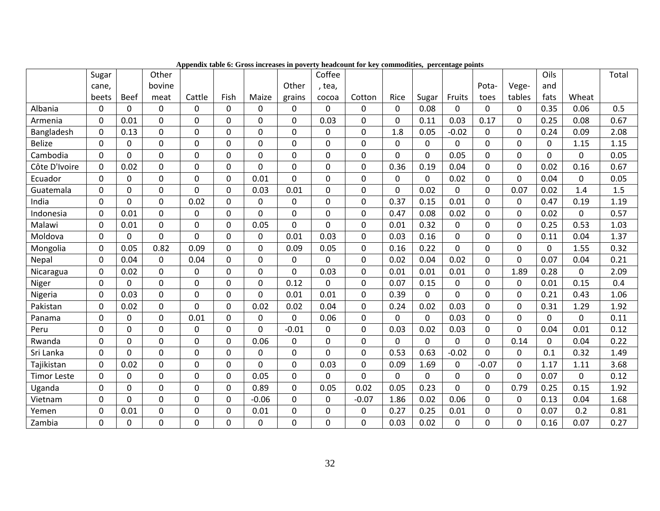|                    | Sugar       |                | Other       |             |             |                |                | Coffee      |                |             |              |                |             |        | Oils     |             | Total |
|--------------------|-------------|----------------|-------------|-------------|-------------|----------------|----------------|-------------|----------------|-------------|--------------|----------------|-------------|--------|----------|-------------|-------|
|                    | cane,       |                | bovine      |             |             |                | Other          | , tea,      |                |             |              |                | Pota-       | Vege-  | and      |             |       |
|                    | beets       | <b>Beef</b>    | meat        | Cattle      | Fish        | Maize          | grains         | cocoa       | Cotton         | Rice        | Sugar        | Fruits         | toes        | tables | fats     | Wheat       |       |
| Albania            | 0           | 0              | 0           | 0           | $\Omega$    | 0              | 0              | 0           | 0              | $\Omega$    | 0.08         | 0              | $\mathbf 0$ | 0      | 0.35     | 0.06        | 0.5   |
| Armenia            | $\Omega$    | 0.01           | $\Omega$    | $\Omega$    | $\Omega$    | $\Omega$       | $\overline{0}$ | 0.03        | $\Omega$       | $\Omega$    | 0.11         | 0.03           | 0.17        | 0      | 0.25     | 0.08        | 0.67  |
| Bangladesh         | 0           | 0.13           | 0           | $\Omega$    | $\Omega$    | $\Omega$       | $\Omega$       | 0           | 0              | 1.8         | 0.05         | $-0.02$        | 0           | 0      | 0.24     | 0.09        | 2.08  |
| <b>Belize</b>      | $\mathbf 0$ | $\mathbf{0}$   | $\mathbf 0$ | $\Omega$    | $\mathbf 0$ | 0              | $\mathbf 0$    | 0           | $\mathbf 0$    | $\mathbf 0$ | $\mathbf{0}$ | $\Omega$       | $\mathbf 0$ | 0      | $\Omega$ | 1.15        | 1.15  |
| Cambodia           | 0           | 0              | $\mathbf 0$ | 0           | 0           | $\mathbf 0$    | 0              | 0           | 0              | $\mathbf 0$ | 0            | 0.05           | 0           | 0      | $\Omega$ | 0           | 0.05  |
| Côte D'Ivoire      | $\mathbf 0$ | 0.02           | $\mathbf 0$ | $\mathbf 0$ | $\mathbf 0$ | $\mathbf 0$    | $\mathbf 0$    | 0           | $\overline{0}$ | 0.36        | 0.19         | 0.04           | $\mathbf 0$ | 0      | 0.02     | 0.16        | 0.67  |
| Ecuador            | $\mathbf 0$ | 0              | $\mathbf 0$ | $\Omega$    | $\mathbf 0$ | 0.01           | $\mathbf 0$    | 0           | 0              | 0           | 0            | 0.02           | $\mathbf 0$ | 0      | 0.04     | $\mathbf 0$ | 0.05  |
| Guatemala          | $\mathbf 0$ | $\mathbf{0}$   | $\mathbf 0$ | $\Omega$    | $\mathbf 0$ | 0.03           | 0.01           | $\mathbf 0$ | $\mathbf 0$    | $\Omega$    | 0.02         | $\Omega$       | $\mathbf 0$ | 0.07   | 0.02     | 1.4         | 1.5   |
| India              | $\mathbf 0$ | 0              | $\mathbf 0$ | 0.02        | 0           | 0              | 0              | 0           | 0              | 0.37        | 0.15         | 0.01           | $\pmb{0}$   | 0      | 0.47     | 0.19        | 1.19  |
| Indonesia          | $\mathbf 0$ | 0.01           | $\mathbf 0$ | 0           | $\mathbf 0$ | 0              | $\mathbf 0$    | $\mathbf 0$ | 0              | 0.47        | 0.08         | 0.02           | $\mathbf 0$ | 0      | 0.02     | 0           | 0.57  |
| Malawi             | $\mathbf 0$ | 0.01           | $\mathbf 0$ | 0           | $\mathbf 0$ | 0.05           | $\mathbf 0$    | 0           | 0              | 0.01        | 0.32         | $\mathbf 0$    | $\mathbf 0$ | 0      | 0.25     | 0.53        | 1.03  |
| Moldova            | $\mathbf 0$ | $\Omega$       | $\mathbf 0$ | $\Omega$    | $\mathbf 0$ | $\mathbf 0$    | 0.01           | 0.03        | $\mathbf 0$    | 0.03        | 0.16         | $\mathbf 0$    | $\mathbf 0$ | 0      | 0.11     | 0.04        | 1.37  |
| Mongolia           | $\mathbf 0$ | 0.05           | 0.82        | 0.09        | 0           | $\mathbf 0$    | 0.09           | 0.05        | 0              | 0.16        | 0.22         | $\mathbf 0$    | $\mathbf 0$ | 0      | 0        | 1.55        | 0.32  |
| Nepal              | $\Omega$    | 0.04           | $\mathbf 0$ | 0.04        | $\mathbf 0$ | 0              | $\mathbf 0$    | 0           | $\Omega$       | 0.02        | 0.04         | 0.02           | $\mathbf 0$ | 0      | 0.07     | 0.04        | 0.21  |
| Nicaragua          | $\mathbf 0$ | 0.02           | $\mathbf 0$ | 0           | $\mathbf 0$ | 0              | $\mathbf 0$    | 0.03        | 0              | 0.01        | 0.01         | 0.01           | $\pmb{0}$   | 1.89   | 0.28     | $\mathbf 0$ | 2.09  |
| Niger              | $\mathbf 0$ | $\mathbf 0$    | $\mathbf 0$ | $\mathbf 0$ | $\mathbf 0$ | 0              | 0.12           | $\mathbf 0$ | 0              | 0.07        | 0.15         | $\Omega$       | $\mathbf 0$ | 0      | 0.01     | 0.15        | 0.4   |
| Nigeria            | $\pmb{0}$   | 0.03           | $\mathbf 0$ | 0           | $\mathbf 0$ | $\overline{0}$ | 0.01           | 0.01        | 0              | 0.39        | $\mathbf 0$  | $\overline{0}$ | $\pmb{0}$   | 0      | 0.21     | 0.43        | 1.06  |
| Pakistan           | 0           | 0.02           | 0           | 0           | 0           | 0.02           | 0.02           | 0.04        | 0              | 0.24        | 0.02         | 0.03           | $\mathbf 0$ | 0      | 0.31     | 1.29        | 1.92  |
| Panama             | $\mathbf 0$ | 0              | $\mathbf 0$ | 0.01        | $\mathbf 0$ | $\mathbf 0$    | $\mathbf 0$    | 0.06        | 0              | $\mathbf 0$ | $\mathbf 0$  | 0.03           | $\mathbf 0$ | 0      | 0        | $\mathbf 0$ | 0.11  |
| Peru               | $\mathbf 0$ | 0              | $\mathbf 0$ | $\Omega$    | $\mathbf 0$ | 0              | $-0.01$        | $\Omega$    | $\mathbf 0$    | 0.03        | 0.02         | 0.03           | $\mathbf 0$ | 0      | 0.04     | 0.01        | 0.12  |
| Rwanda             | $\mathbf 0$ | 0              | $\mathbf 0$ | 0           | $\mathbf 0$ | 0.06           | $\mathbf 0$    | 0           | $\overline{0}$ | $\mathbf 0$ | $\mathbf 0$  | $\mathbf 0$    | $\pmb{0}$   | 0.14   | 0        | 0.04        | 0.22  |
| Sri Lanka          | $\mathbf 0$ | $\Omega$       | $\mathbf 0$ | $\Omega$    | $\mathbf 0$ | 0              | $\mathbf 0$    | 0           | 0              | 0.53        | 0.63         | $-0.02$        | $\mathbf 0$ | 0      | 0.1      | 0.32        | 1.49  |
| Tajikistan         | $\mathbf 0$ | 0.02           | $\mathbf 0$ | $\mathbf 0$ | $\mathbf 0$ | 0              | $\mathbf 0$    | 0.03        | 0              | 0.09        | 1.69         | $\Omega$       | $-0.07$     | 0      | 1.17     | 1.11        | 3.68  |
| <b>Timor Leste</b> | $\mathbf 0$ | $\mathbf 0$    | $\mathbf 0$ | $\mathbf 0$ | $\mathbf 0$ | 0.05           | $\mathbf 0$    | 0           | $\overline{0}$ | 0           | 0            | $\mathbf 0$    | $\mathbf 0$ | 0      | 0.07     | 0           | 0.12  |
| Uganda             | $\mathbf 0$ | 0              | $\mathbf 0$ | 0           | $\mathbf 0$ | 0.89           | $\mathbf 0$    | 0.05        | 0.02           | 0.05        | 0.23         | 0              | $\mathbf 0$ | 0.79   | 0.25     | 0.15        | 1.92  |
| Vietnam            | $\mathbf 0$ | $\overline{0}$ | $\mathbf 0$ | $\Omega$    | $\mathbf 0$ | $-0.06$        | $\mathbf 0$    | 0           | $-0.07$        | 1.86        | 0.02         | 0.06           | $\mathbf 0$ | 0      | 0.13     | 0.04        | 1.68  |
| Yemen              | $\mathbf 0$ | 0.01           | $\mathbf 0$ | 0           | $\mathbf 0$ | 0.01           | $\mathbf 0$    | 0           | 0              | 0.27        | 0.25         | 0.01           | $\pmb{0}$   | 0      | 0.07     | 0.2         | 0.81  |
| Zambia             | 0           | 0              | $\mathbf 0$ | 0           | 0           | 0              | $\Omega$       | 0           | 0              | 0.03        | 0.02         | $\Omega$       | 0           | 0      | 0.16     | 0.07        | 0.27  |

**Appendix table 6: Gross increases in poverty headcount for key commodities, percentage points**